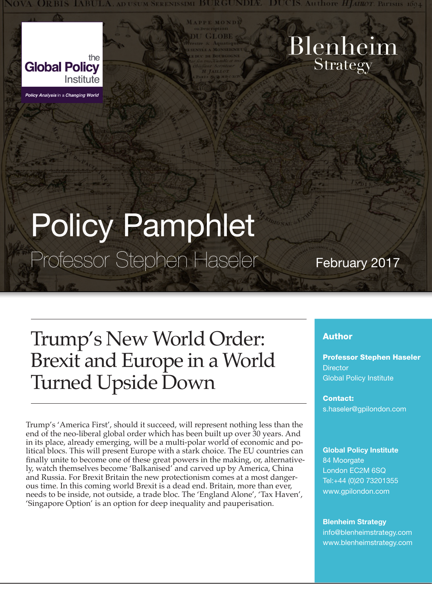the **Global Policy** Institute

Policy Analysis in a Changing World



# Policy Pamphlet Professor Stephen Haseler February 2017

### Trump's New World Order: Brexit and Europe in a World Turned Upside Down

Trump's 'America First', should it succeed, will represent nothing less than the end of the neo-liberal global order which has been built up over 30 years. And in its place, already emerging, will be a multi-polar world of economic and political blocs. This will present Europe with a stark choice. The EU countries can finally unite to become one of these great powers in the making, or, alternatively, watch themselves become 'Balkanised' and carved up by America, China and Russia. For Brexit Britain the new protectionism comes at a most dangerous time. In this coming world Brexit is a dead end. Britain, more than ever, needs to be inside, not outside, a trade bloc. The 'England Alone', 'Tax Haven', 'Singapore Option' is an option for deep inequality and pauperisation.

#### Author

Professor Stephen Haseler **Director** Global Policy Institute

#### Contact:

s.haseler@gpilondon.com

#### Global Policy Institute

84 Moorgate London EC2M 6SQ Tel:+44 (0)20 73201355 www.gpilondon.com

#### Blenheim Strategy

info@blenheimstrategy.com www.blenheimstrategy.com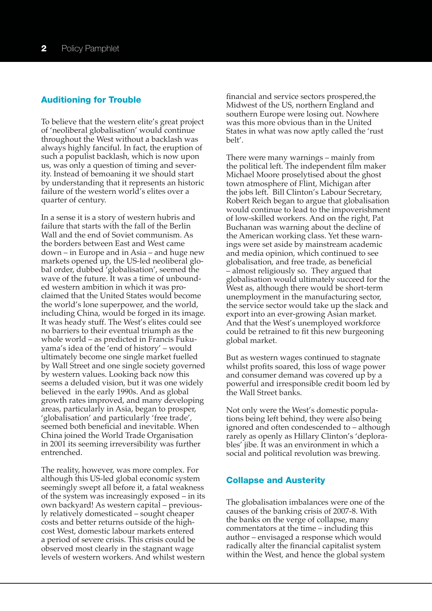#### Auditioning for Trouble

To believe that the western elite's great project of 'neoliberal globalisation' would continue throughout the West without a backlash was always highly fanciful. In fact, the eruption of such a populist backlash, which is now upon us, was only a question of timing and severity. Instead of bemoaning it we should start by understanding that it represents an historic failure of the western world's elites over a quarter of century.

In a sense it is a story of western hubris and failure that starts with the fall of the Berlin Wall and the end of Soviet communism. As the borders between East and West came down – in Europe and in Asia – and huge new markets opened up, the US-led neoliberal global order, dubbed 'globalisation', seemed the wave of the future. It was a time of unbounded western ambition in which it was proclaimed that the United States would become the world's lone superpower, and the world, including China, would be forged in its image. It was heady stuff. The West's elites could see no barriers to their eventual triumph as the whole world – as predicted in Francis Fukuyama's idea of the 'end of history' – would ultimately become one single market fuelled by Wall Street and one single society governed by western values. Looking back now this seems a deluded vision, but it was one widely believed in the early 1990s. And as global growth rates improved, and many developing areas, particularly in Asia, began to prosper, 'globalisation' and particularly 'free trade', seemed both beneficial and inevitable. When China joined the World Trade Organisation in 2001 its seeming irreversibility was further entrenched.

The reality, however, was more complex. For although this US-led global economic system seemingly swept all before it, a fatal weakness of the system was increasingly exposed – in its own backyard! As western capital – previously relatively domesticated – sought cheaper costs and better returns outside of the highcost West, domestic labour markets entered a period of severe crisis. This crisis could be observed most clearly in the stagnant wage levels of western workers. And whilst western financial and service sectors prospered,the Midwest of the US, northern England and southern Europe were losing out. Nowhere was this more obvious than in the United States in what was now aptly called the 'rust belt'.

There were many warnings – mainly from the political left. The independent film maker Michael Moore proselytised about the ghost town atmosphere of Flint, Michigan after the jobs left. Bill Clinton's Labour Secretary, Robert Reich began to argue that globalisation would continue to lead to the impoverishment of low-skilled workers. And on the right, Pat Buchanan was warning about the decline of the American working class. Yet these warnings were set aside by mainstream academic and media opinion, which continued to see globalisation, and free trade, as beneficial – almost religiously so. They argued that globalisation would ultimately succeed for the West as, although there would be short-term unemployment in the manufacturing sector, the service sector would take up the slack and export into an ever-growing Asian market. And that the West's unemployed workforce could be retrained to fit this new burgeoning global market.

But as western wages continued to stagnate whilst profits soared, this loss of wage power and consumer demand was covered up by a powerful and irresponsible credit boom led by the Wall Street banks.

Not only were the West's domestic populations being left behind, they were also being ignored and often condescended to – although rarely as openly as Hillary Clinton's 'deplorables' jibe. It was an environment in which a social and political revolution was brewing.

#### Collapse and Austerity

The globalisation imbalances were one of the causes of the banking crisis of 2007-8. With the banks on the verge of collapse, many commentators at the time – including this author – envisaged a response which would radically alter the financial capitalist system within the West, and hence the global system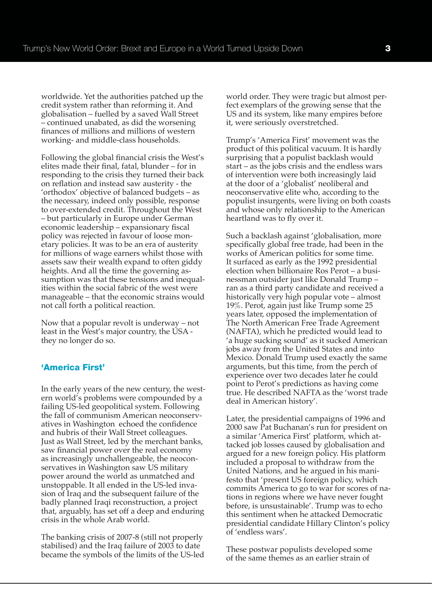worldwide. Yet the authorities patched up the credit system rather than reforming it. And globalisation – fuelled by a saved Wall Street – continued unabated, as did the worsening finances of millions and millions of western working- and middle-class households.

Following the global financial crisis the West's elites made their final, fatal, blunder – for in responding to the crisis they turned their back on reflation and instead saw austerity - the 'orthodox' objective of balanced budgets – as the necessary, indeed only possible, response to over-extended credit. Throughout the West – but particularly in Europe under German economic leadership – expansionary fiscal policy was rejected in favour of loose monetary policies. It was to be an era of austerity for millions of wage earners whilst those with assets saw their wealth expand to often giddy heights. And all the time the governing assumption was that these tensions and inequalities within the social fabric of the west were manageable – that the economic strains would not call forth a political reaction.

Now that a popular revolt is underway – not least in the West's major country, the USA they no longer do so.

#### 'America First'

In the early years of the new century, the western world's problems were compounded by a failing US-led geopolitical system. Following the fall of communism American neoconservatives in Washington echoed the confidence and hubris of their Wall Street colleagues. Just as Wall Street, led by the merchant banks, saw financial power over the real economy as increasingly unchallengeable, the neoconservatives in Washington saw US military power around the world as unmatched and unstoppable. It all ended in the US-led invasion of Iraq and the subsequent failure of the badly planned Iraqi reconstruction, a project that, arguably, has set off a deep and enduring crisis in the whole Arab world.

The banking crisis of 2007-8 (still not properly stabilised) and the Iraq failure of 2003 to date became the symbols of the limits of the US-led world order. They were tragic but almost perfect exemplars of the growing sense that the US and its system, like many empires before it, were seriously overstretched.

Trump's 'America First' movement was the product of this political vacuum. It is hardly surprising that a populist backlash would start – as the jobs crisis and the endless wars of intervention were both increasingly laid at the door of a 'globalist' neoliberal and neoconservative elite who, according to the populist insurgents, were living on both coasts and whose only relationship to the American heartland was to fly over it.

Such a backlash against 'globalisation, more specifically global free trade, had been in the works of American politics for some time. It surfaced as early as the 1992 presidential election when billionaire Ros Perot – a businessman outsider just like Donald Trump – ran as a third party candidate and received a historically very high popular vote – almost 19%. Perot, again just like Trump some 25 years later, opposed the implementation of The North American Free Trade Agreement (NAFTA), which he predicted would lead to 'a huge sucking sound' as it sucked American jobs away from the United States and into Mexico. Donald Trump used exactly the same arguments, but this time, from the perch of experience over two decades later he could point to Perot's predictions as having come true. He described NAFTA as the 'worst trade deal in American history'.

Later, the presidential campaigns of 1996 and 2000 saw Pat Buchanan's run for president on a similar 'America First' platform, which attacked job losses caused by globalisation and argued for a new foreign policy. His platform included a proposal to withdraw from the United Nations, and he argued in his manifesto that 'present US foreign policy, which commits America to go to war for scores of nations in regions where we have never fought before, is unsustainable'. Trump was to echo this sentiment when he attacked Democratic presidential candidate Hillary Clinton's policy of 'endless wars'.

These postwar populists developed some of the same themes as an earlier strain of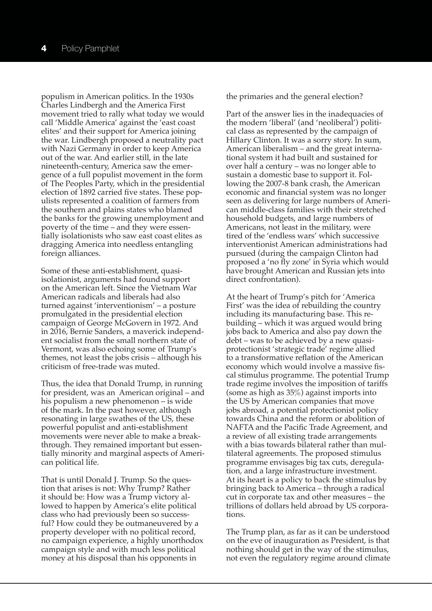populism in American politics. In the 1930s Charles Lindbergh and the America First movement tried to rally what today we would call 'Middle America' against the 'east coast elites' and their support for America joining the war. Lindbergh proposed a neutrality pact with Nazi Germany in order to keep America out of the war. And earlier still, in the late nineteenth-century, America saw the emergence of a full populist movement in the form of The Peoples Party, which in the presidential election of 1892 carried five states. These populists represented a coalition of farmers from the southern and plains states who blamed the banks for the growing unemployment and poverty of the time – and they were essentially isolationists who saw east coast elites as dragging America into needless entangling foreign alliances.

Some of these anti-establishment, quasiisolationist, arguments had found support on the American left. Since the Vietnam War American radicals and liberals had also turned against 'interventionism' – a posture promulgated in the presidential election campaign of George McGovern in 1972. And in 2016, Bernie Sanders, a maverick independent socialist from the small northern state of Vermont, was also echoing some of Trump's themes, not least the jobs crisis – although his criticism of free-trade was muted.

Thus, the idea that Donald Trump, in running for president, was an American original – and his populism a new phenomenon – is wide of the mark. In the past however, although resonating in large swathes of the US, these powerful populist and anti-establishment movements were never able to make a breakthrough. They remained important but essentially minority and marginal aspects of American political life.

That is until Donald J. Trump. So the question that arises is not: Why Trump? Rather it should be: How was a Trump victory allowed to happen by America's elite political class who had previously been so successful? How could they be outmaneuvered by a property developer with no political record, no campaign experience, a highly unorthodox campaign style and with much less political money at his disposal than his opponents in

the primaries and the general election?

Part of the answer lies in the inadequacies of the modern 'liberal' (and 'neoliberal') political class as represented by the campaign of Hillary Clinton. It was a sorry story. In sum, American liberalism – and the great international system it had built and sustained for over half a century – was no longer able to sustain a domestic base to support it. Following the 2007-8 bank crash, the American economic and financial system was no longer seen as delivering for large numbers of American middle-class families with their stretched household budgets, and large numbers of Americans, not least in the military, were tired of the 'endless wars' which successive interventionist American administrations had pursued (during the campaign Clinton had proposed a 'no fly zone' in Syria which would have brought American and Russian jets into direct confrontation).

At the heart of Trump's pitch for 'America First' was the idea of rebuilding the country including its manufacturing base. This rebuilding – which it was argued would bring jobs back to America and also pay down the debt – was to be achieved by a new quasiprotectionist 'strategic trade' regime allied to a transformative reflation of the American economy which would involve a massive fiscal stimulus programme. The potential Trump trade regime involves the imposition of tariffs (some as high as 35%) against imports into the US by American companies that move jobs abroad, a potential protectionist policy towards China and the reform or abolition of NAFTA and the Pacific Trade Agreement, and a review of all existing trade arrangements with a bias towards bilateral rather than multilateral agreements. The proposed stimulus programme envisages big tax cuts, deregulation, and a large infrastructure investment. At its heart is a policy to back the stimulus by bringing back to America – through a radical cut in corporate tax and other measures – the trillions of dollars held abroad by US corporations.

The Trump plan, as far as it can be understood on the eve of inauguration as President, is that nothing should get in the way of the stimulus, not even the regulatory regime around climate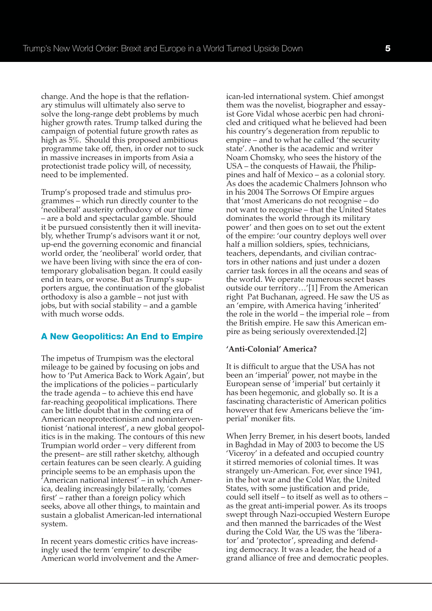change. And the hope is that the reflationary stimulus will ultimately also serve to solve the long-range debt problems by much higher growth rates. Trump talked during the campaign of potential future growth rates as high as 5%. Should this proposed ambitious programme take off, then, in order not to suck in massive increases in imports from Asia a protectionist trade policy will, of necessity, need to be implemented.

Trump's proposed trade and stimulus programmes – which run directly counter to the 'neoliberal' austerity orthodoxy of our time – are a bold and spectacular gamble. Should it be pursued consistently then it will inevitably, whether Trump's advisors want it or not, up-end the governing economic and financial world order, the 'neoliberal' world order, that we have been living with since the era of contemporary globalisation began. It could easily end in tears, or worse. But as Trump's supporters argue, the continuation of the globalist orthodoxy is also a gamble – not just with jobs, but with social stability – and a gamble with much worse odds.

#### A New Geopolitics: An End to Empire

The impetus of Trumpism was the electoral mileage to be gained by focusing on jobs and how to 'Put America Back to Work Again', but the implications of the policies – particularly the trade agenda – to achieve this end have far-reaching geopolitical implications. There can be little doubt that in the coming era of American neoprotectionism and noninterventionist 'national interest', a new global geopolitics is in the making. The contours of this new Trumpian world order – very different from the present– are still rather sketchy, although certain features can be seen clearly. A guiding principle seems to be an emphasis upon the 'American national interest' – in which America, dealing increasingly bilaterally, 'comes first' – rather than a foreign policy which seeks, above all other things, to maintain and sustain a globalist American-led international system.

In recent years domestic critics have increasingly used the term 'empire' to describe American world involvement and the American-led international system. Chief amongst them was the novelist, biographer and essayist Gore Vidal whose acerbic pen had chronicled and critiqued what he believed had been his country's degeneration from republic to empire – and to what he called 'the security state'. Another is the academic and writer Noam Chomsky, who sees the history of the USA – the conquests of Hawaii, the Philippines and half of Mexico – as a colonial story. As does the academic Chalmers Johnson who in his 2004 The Sorrows Of Empire argues that 'most Americans do not recognise – do not want to recognise – that the United States dominates the world through its military power' and then goes on to set out the extent of the empire: 'our country deploys well over half a million soldiers, spies, technicians, teachers, dependants, and civilian contractors in other nations and just under a dozen carrier task forces in all the oceans and seas of the world. We operate numerous secret bases outside our territory…'[1] From the American right Pat Buchanan, agreed. He saw the US as an 'empire, with America having 'inherited' the role in the world – the imperial role – from the British empire. He saw this American empire as being seriously overextended.[2]

#### **'Anti-Colonial' America?**

It is difficult to argue that the USA has not been an 'imperial' power, not maybe in the European sense of 'imperial' but certainly it has been hegemonic, and globally so. It is a fascinating characteristic of American politics however that few Americans believe the 'imperial' moniker fits.

When Jerry Bremer, in his desert boots, landed in Baghdad in May of 2003 to become the US 'Viceroy' in a defeated and occupied country it stirred memories of colonial times. It was strangely un-American. For, ever since 1941, in the hot war and the Cold War, the United States, with some justification and pride, could sell itself – to itself as well as to others – as the great anti-imperial power. As its troops swept through Nazi-occupied Western Europe and then manned the barricades of the West during the Cold War, the US was the 'liberator' and 'protector', spreading and defending democracy. It was a leader, the head of a grand alliance of free and democratic peoples.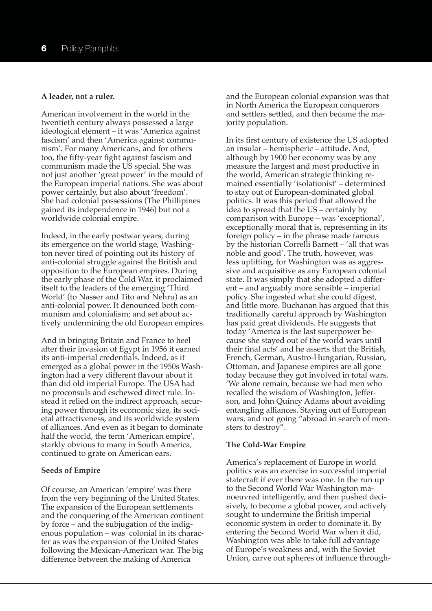#### **A leader, not a ruler.**

American involvement in the world in the twentieth century always possessed a large ideological element – it was 'America against fascism' and then 'America against communism'. For many Americans, and for others too, the fifty-year fight against fascism and communism made the US special. She was not just another 'great power' in the mould of the European imperial nations. She was about power certainly, but also about 'freedom'. She had colonial possessions (The Phillipines gained its independence in 1946) but not a worldwide colonial empire.

Indeed, in the early postwar years, during its emergence on the world stage, Washington never tired of pointing out its history of anti-colonial struggle against the British and opposition to the European empires. During the early phase of the Cold War, it proclaimed itself to the leaders of the emerging 'Third World' (to Nasser and Tito and Nehru) as an anti-colonial power. It denounced both communism and colonialism; and set about actively undermining the old European empires.

And in bringing Britain and France to heel after their invasion of Egypt in 1956 it earned its anti-imperial credentials. Indeed, as it emerged as a global power in the 1950s Washington had a very different flavour about it than did old imperial Europe. The USA had no proconsuls and eschewed direct rule. Instead it relied on the indirect approach, securing power through its economic size, its societal attractiveness, and its worldwide system of alliances. And even as it began to dominate half the world, the term 'American empire', starkly obvious to many in South America, continued to grate on American ears.

#### **Seeds of Empire**

Of course, an American 'empire' was there from the very beginning of the United States. The expansion of the European settlements and the conquering of the American continent by force – and the subjugation of the indigenous population – was colonial in its character as was the expansion of the United States following the Mexican-American war. The big difference between the making of America

and the European colonial expansion was that in North America the European conquerors and settlers settled, and then became the majority population.

In its first century of existence the US adopted an insular – hemispheric – attitude. And, although by 1900 her economy was by any measure the largest and most productive in the world, American strategic thinking remained essentially 'isolationist' – determined to stay out of European-dominated global politics. It was this period that allowed the idea to spread that the US – certainly by comparison with Europe – was 'exceptional', exceptionally moral that is, representing in its foreign policy – in the phrase made famous by the historian Correlli Barnett – 'all that was noble and good'. The truth, however, was less uplifting, for Washington was as aggressive and acquisitive as any European colonial state. It was simply that she adopted a different – and arguably more sensible – imperial policy. She ingested what she could digest, and little more. Buchanan has argued that this traditionally careful approach by Washington has paid great dividends. He suggests that today 'America is the last superpower because she stayed out of the world wars until their final acts' and he asserts that the British, French, German, Austro-Hungarian, Russian, Ottoman, and Japanese empires are all gone today because they got involved in total wars. 'We alone remain, because we had men who recalled the wisdom of Washington, Jefferson, and John Quincy Adams about avoiding entangling alliances. Staying out of European wars, and not going "abroad in search of monsters to destroy".

#### **The Cold-War Empire**

America's replacement of Europe in world politics was an exercise in successful imperial statecraft if ever there was one. In the run up to the Second World War Washington manoeuvred intelligently, and then pushed decisively, to become a global power, and actively sought to undermine the British imperial economic system in order to dominate it. By entering the Second World War when it did, Washington was able to take full advantage of Europe's weakness and, with the Soviet Union, carve out spheres of influence through-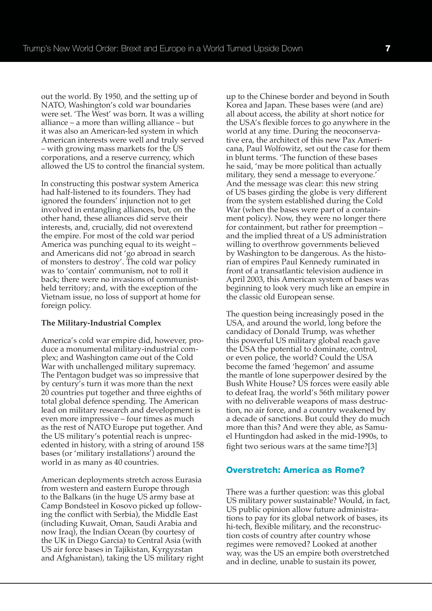out the world. By 1950, and the setting up of NATO, Washington's cold war boundaries were set. 'The West' was born. It was a willing alliance – a more than willing alliance – but it was also an American-led system in which American interests were well and truly served – with growing mass markets for the US corporations, and a reserve currency, which allowed the US to control the financial system.

In constructing this postwar system America had half-listened to its founders. They had ignored the founders' injunction not to get involved in entangling alliances, but, on the other hand, these alliances did serve their interests, and, crucially, did not overextend the empire. For most of the cold war period America was punching equal to its weight – and Americans did not 'go abroad in search of monsters to destroy'. The cold war policy was to 'contain' communism, not to roll it back; there were no invasions of communistheld territory; and, with the exception of the Vietnam issue, no loss of support at home for foreign policy.

#### **The Military-Industrial Complex**

America's cold war empire did, however, produce a monumental military-industrial complex; and Washington came out of the Cold War with unchallenged military supremacy. The Pentagon budget was so impressive that by century's turn it was more than the next 20 countries put together and three eighths of total global defence spending. The American lead on military research and development is even more impressive – four times as much as the rest of NATO Europe put together. And the US military's potential reach is unprecedented in history, with a string of around 158 bases (or 'military installations') around the world in as many as 40 countries.

American deployments stretch across Eurasia from western and eastern Europe through to the Balkans (in the huge US army base at Camp Bondsteel in Kosovo picked up following the conflict with Serbia), the Middle East (including Kuwait, Oman, Saudi Arabia and now Iraq), the Indian Ocean (by courtesy of the UK in Diego Garcia) to Central Asia (with US air force bases in Tajikistan, Kyrgyzstan and Afghanistan), taking the US military right up to the Chinese border and beyond in South Korea and Japan. These bases were (and are) all about access, the ability at short notice for the USA's flexible forces to go anywhere in the world at any time. During the neoconservative era, the architect of this new Pax Americana, Paul Wolfowitz, set out the case for them in blunt terms. 'The function of these bases he said, 'may be more political than actually military, they send a message to everyone.' And the message was clear: this new string of US bases girding the globe is very different from the system established during the Cold War (when the bases were part of a containment policy). Now, they were no longer there for containment, but rather for preemption – and the implied threat of a US administration willing to overthrow governments believed by Washington to be dangerous. As the historian of empires Paul Kennedy ruminated in front of a transatlantic television audience in April 2003, this American system of bases was beginning to look very much like an empire in the classic old European sense.

The question being increasingly posed in the USA, and around the world, long before the candidacy of Donald Trump, was whether this powerful US military global reach gave the USA the potential to dominate, control, or even police, the world? Could the USA become the famed 'hegemon' and assume the mantle of lone superpower desired by the Bush White House? US forces were easily able to defeat Iraq, the world's 56th military power with no deliverable weapons of mass destruction, no air force, and a country weakened by a decade of sanctions. But could they do much more than this? And were they able, as Samuel Huntingdon had asked in the mid-1990s, to fight two serious wars at the same time?[3]

#### Overstretch: America as Rome?

There was a further question: was this global US military power sustainable? Would, in fact, US public opinion allow future administrations to pay for its global network of bases, its hi-tech, flexible military, and the reconstruction costs of country after country whose regimes were removed? Looked at another way, was the US an empire both overstretched and in decline, unable to sustain its power,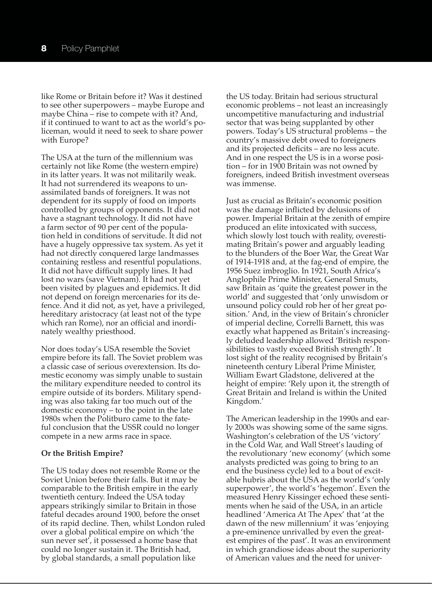like Rome or Britain before it? Was it destined to see other superpowers – maybe Europe and maybe China – rise to compete with it? And, if it continued to want to act as the world's policeman, would it need to seek to share power with Europe?

The USA at the turn of the millennium was certainly not like Rome (the western empire) in its latter years. It was not militarily weak. It had not surrendered its weapons to unassimilated bands of foreigners. It was not dependent for its supply of food on imports controlled by groups of opponents. It did not have a stagnant technology. It did not have a farm sector of 90 per cent of the population held in conditions of servitude. It did not have a hugely oppressive tax system. As yet it had not directly conquered large landmasses containing restless and resentful populations. It did not have difficult supply lines. It had lost no wars (save Vietnam). It had not yet been visited by plagues and epidemics. It did not depend on foreign mercenaries for its defence. And it did not, as yet, have a privileged, hereditary aristocracy (at least not of the type which ran Rome), nor an official and inordinately wealthy priesthood.

Nor does today's USA resemble the Soviet empire before its fall. The Soviet problem was a classic case of serious overextension. Its domestic economy was simply unable to sustain the military expenditure needed to control its empire outside of its borders. Military spending was also taking far too much out of the domestic economy – to the point in the late 1980s when the Politburo came to the fateful conclusion that the USSR could no longer compete in a new arms race in space.

#### **Or the British Empire?**

The US today does not resemble Rome or the Soviet Union before their falls. But it may be comparable to the British empire in the early twentieth century. Indeed the USA today appears strikingly similar to Britain in those fateful decades around 1900, before the onset of its rapid decline. Then, whilst London ruled over a global political empire on which 'the sun never set', it possessed a home base that could no longer sustain it. The British had, by global standards, a small population like

the US today. Britain had serious structural economic problems – not least an increasingly uncompetitive manufacturing and industrial sector that was being supplanted by other powers. Today's US structural problems – the country's massive debt owed to foreigners and its projected deficits – are no less acute. And in one respect the US is in a worse position – for in 1900 Britain was not owned by foreigners, indeed British investment overseas was immense.

Just as crucial as Britain's economic position was the damage inflicted by delusions of power. Imperial Britain at the zenith of empire produced an elite intoxicated with success, which slowly lost touch with reality, overestimating Britain's power and arguably leading to the blunders of the Boer War, the Great War of 1914-1918 and, at the fag-end of empire, the 1956 Suez imbroglio. In 1921, South Africa's Anglophile Prime Minister, General Smuts, saw Britain as 'quite the greatest power in the world' and suggested that 'only unwisdom or unsound policy could rob her of her great position.' And, in the view of Britain's chronicler of imperial decline, Correlli Barnett, this was exactly what happened as Britain's increasingly deluded leadership allowed 'British responsibilities to vastly exceed British strength'. It lost sight of the reality recognised by Britain's nineteenth century Liberal Prime Minister, William Ewart Gladstone, delivered at the height of empire: 'Rely upon it, the strength of Great Britain and Ireland is within the United Kingdom.'

The American leadership in the 1990s and early 2000s was showing some of the same signs. Washington's celebration of the US 'victory' in the Cold War, and Wall Street's lauding of the revolutionary 'new economy' (which some analysts predicted was going to bring to an end the business cycle) led to a bout of excitable hubris about the USA as the world's 'only superpower', the world's 'hegemon'. Even the measured Henry Kissinger echoed these sentiments when he said of the USA, in an article headlined 'America At The Apex' that 'at the dawn of the new millennium' it was 'enjoying a pre-eminence unrivalled by even the greatest empires of the past'. It was an environment in which grandiose ideas about the superiority of American values and the need for univer-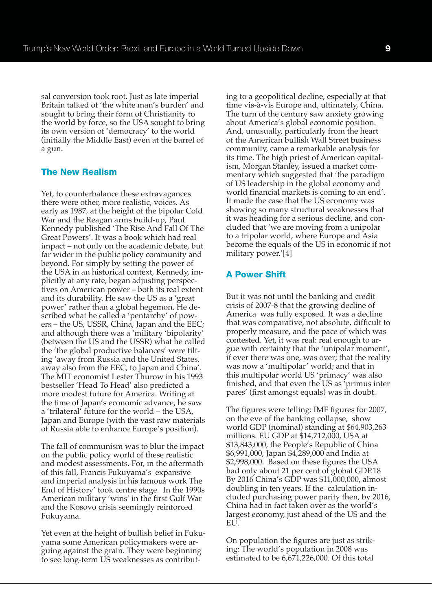sal conversion took root. Just as late imperial Britain talked of 'the white man's burden' and sought to bring their form of Christianity to the world by force, so the USA sought to bring its own version of 'democracy' to the world (initially the Middle East) even at the barrel of a gun.

#### The New Realism

Yet, to counterbalance these extravagances there were other, more realistic, voices. As early as 1987, at the height of the bipolar Cold War and the Reagan arms build-up, Paul Kennedy published 'The Rise And Fall Of The Great Powers'. It was a book which had real impact – not only on the academic debate, but far wider in the public policy community and beyond. For simply by setting the power of the USA in an historical context, Kennedy, implicitly at any rate, began adjusting perspectives on American power – both its real extent and its durability. He saw the US as a 'great power' rather than a global hegemon. He described what he called a 'pentarchy' of powers – the US, USSR, China, Japan and the EEC; and although there was a 'military 'bipolarity' (between the US and the USSR) what he called the 'the global productive balances' were tilting 'away from Russia and the United States, away also from the EEC, to Japan and China'. The MIT economist Lester Thurow in his 1993 bestseller 'Head To Head' also predicted a more modest future for America. Writing at the time of Japan's economic advance, he saw a 'trilateral' future for the world – the USA, Japan and Europe (with the vast raw materials of Russia able to enhance Europe's position).

The fall of communism was to blur the impact on the public policy world of these realistic and modest assessments. For, in the aftermath of this fall, Francis Fukuyama's expansive and imperial analysis in his famous work The End of History' took centre stage. In the 1990s American military 'wins' in the first Gulf War and the Kosovo crisis seemingly reinforced Fukuyama.

Yet even at the height of bullish belief in Fukuyama some American policymakers were arguing against the grain. They were beginning to see long-term US weaknesses as contributing to a geopolitical decline, especially at that time vis-à-vis Europe and, ultimately, China. The turn of the century saw anxiety growing about America's global economic position. And, unusually, particularly from the heart of the American bullish Wall Street business community, came a remarkable analysis for its time. The high priest of American capitalism, Morgan Stanley, issued a market commentary which suggested that 'the paradigm of US leadership in the global economy and world financial markets is coming to an end'. It made the case that the US economy was showing so many structural weaknesses that it was heading for a serious decline, and concluded that 'we are moving from a unipolar to a tripolar world, where Europe and Asia become the equals of the US in economic if not military power.'[4]

#### A Power Shift

But it was not until the banking and credit crisis of 2007-8 that the growing decline of America was fully exposed. It was a decline that was comparative, not absolute, difficult to properly measure, and the pace of which was contested. Yet, it was real: real enough to argue with certainty that the 'unipolar moment', if ever there was one, was over; that the reality was now a 'multipolar' world; and that in this multipolar world US 'primacy' was also finished, and that even the US as 'primus inter pares' (first amongst equals) was in doubt.

The figures were telling: IMF figures for 2007, on the eve of the banking collapse, show world GDP (nominal) standing at \$64,903,263 millions. EU GDP at \$14,712,000, USA at \$13,843,000, the People's Republic of China \$6,991,000, Japan \$4,289,000 and India at \$2,998,000. Based on these figures the USA had only about 21 per cent of global GDP.18 By 2016 China's GDP was \$11,000,000, almost doubling in ten years. If the calculation included purchasing power parity then, by 2016, China had in fact taken over as the world's largest economy, just ahead of the US and the EU.

On population the figures are just as striking: The world's population in 2008 was estimated to be 6,671,226,000. Of this total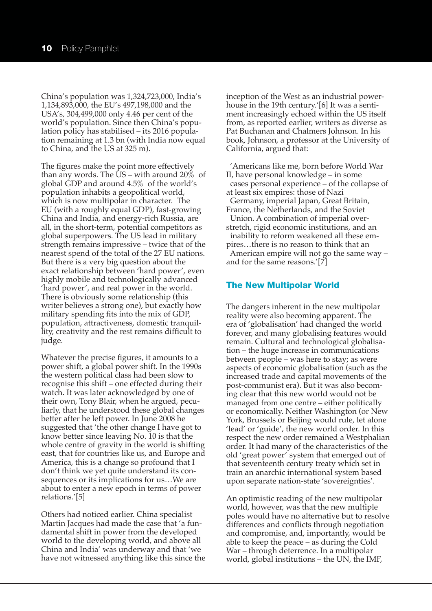China's population was 1,324,723,000, India's 1,134,893,000, the EU's 497,198,000 and the USA's, 304,499,000 only 4.46 per cent of the world's population. Since then China's population policy has stabilised – its 2016 population remaining at 1.3 bn (with India now equal to China, and the US at 325 m).

The figures make the point more effectively than any words. The US – with around  $20\%$  of global GDP and around 4.5% of the world's population inhabits a geopolitical world, which is now multipolar in character. The EU (with a roughly equal GDP), fast-growing China and India, and energy-rich Russia, are all, in the short-term, potential competitors as global superpowers. The US lead in military strength remains impressive – twice that of the nearest spend of the total of the 27 EU nations. But there is a very big question about the exact relationship between 'hard power', even highly mobile and technologically advanced 'hard power', and real power in the world. There is obviously some relationship (this writer believes a strong one), but exactly how military spending fits into the mix of GDP, population, attractiveness, domestic tranquillity, creativity and the rest remains difficult to judge.

Whatever the precise figures, it amounts to a power shift, a global power shift. In the 1990s the western political class had been slow to recognise this shift – one effected during their watch. It was later acknowledged by one of their own, Tony Blair, when he argued, peculiarly, that he understood these global changes better after he left power. In June 2008 he suggested that 'the other change I have got to know better since leaving No. 10 is that the whole centre of gravity in the world is shifting east, that for countries like us, and Europe and America, this is a change so profound that I don't think we yet quite understand its consequences or its implications for us…We are about to enter a new epoch in terms of power relations.'[5]

Others had noticed earlier. China specialist Martin Jacques had made the case that 'a fundamental shift in power from the developed world to the developing world, and above all China and India' was underway and that 'we have not witnessed anything like this since the inception of the West as an industrial powerhouse in the 19th century.'[6] It was a sentiment increasingly echoed within the US itself from, as reported earlier, writers as diverse as Pat Buchanan and Chalmers Johnson. In his book, Johnson, a professor at the University of California, argued that:

 'Americans like me, born before World War II, have personal knowledge – in some cases personal experience – of the collapse of at least six empires: those of Nazi Germany, imperial Japan, Great Britain, France, the Netherlands, and the Soviet Union. A combination of imperial overstretch, rigid economic institutions, and an inability to reform weakened all these empires…there is no reason to think that an American empire will not go the same way – and for the same reasons.'[7]

### The New Multipolar World

The dangers inherent in the new multipolar reality were also becoming apparent. The era of 'globalisation' had changed the world forever, and many globalising features would remain. Cultural and technological globalisation – the huge increase in communications between people – was here to stay; as were aspects of economic globalisation (such as the increased trade and capital movements of the post-communist era). But it was also becoming clear that this new world would not be managed from one centre – either politically or economically. Neither Washington (or New York, Brussels or Beijing would rule, let alone 'lead' or 'guide', the new world order. In this respect the new order remained a Westphalian order. It had many of the characteristics of the old 'great power' system that emerged out of that seventeenth century treaty which set in train an anarchic international system based upon separate nation-state 'sovereignties'.

An optimistic reading of the new multipolar world, however, was that the new multiple poles would have no alternative but to resolve differences and conflicts through negotiation and compromise, and, importantly, would be able to keep the peace – as during the Cold War – through deterrence. In a multipolar world, global institutions – the UN, the IMF,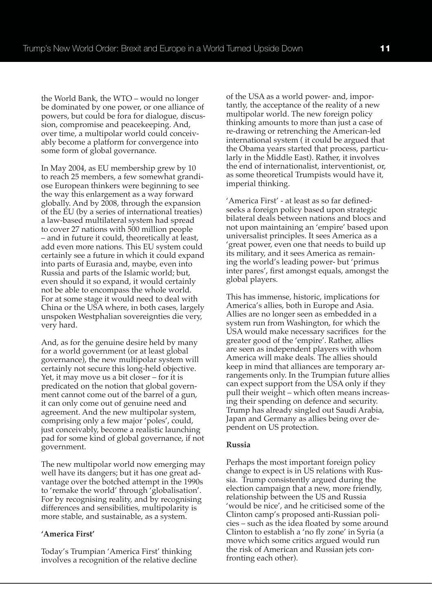the World Bank, the WTO – would no longer be dominated by one power, or one alliance of powers, but could be fora for dialogue, discussion, compromise and peacekeeping. And, over time, a multipolar world could conceivably become a platform for convergence into some form of global governance.

In May 2004, as EU membership grew by 10 to reach 25 members, a few somewhat grandiose European thinkers were beginning to see the way this enlargement as a way forward globally. And by 2008, through the expansion of the EU (by a series of international treaties) a law-based multilateral system had spread to cover 27 nations with 500 million people – and in future it could, theoretically at least, add even more nations. This EU system could certainly see a future in which it could expand into parts of Eurasia and, maybe, even into Russia and parts of the Islamic world; but, even should it so expand, it would certainly not be able to encompass the whole world. For at some stage it would need to deal with China or the USA where, in both cases, largely unspoken Westphalian sovereignties die very, very hard.

And, as for the genuine desire held by many for a world government (or at least global governance), the new multipolar system will certainly not secure this long-held objective. Yet, it may move us a bit closer – for it is predicated on the notion that global government cannot come out of the barrel of a gun, it can only come out of genuine need and agreement. And the new multipolar system, comprising only a few major 'poles', could, just conceivably, become a realistic launching pad for some kind of global governance, if not government.

The new multipolar world now emerging may well have its dangers; but it has one great advantage over the botched attempt in the 1990s to 'remake the world' through 'globalisation'. For by recognising reality, and by recognising differences and sensibilities, multipolarity is more stable, and sustainable, as a system.

#### **'America First'**

Today's Trumpian 'America First' thinking involves a recognition of the relative decline of the USA as a world power- and, importantly, the acceptance of the reality of a new multipolar world. The new foreign policy thinking amounts to more than just a case of re-drawing or retrenching the American-led international system ( it could be argued that the Obama years started that process, particularly in the Middle East). Rather, it involves the end of internationalist, interventionist, or, as some theoretical Trumpists would have it, imperial thinking.

'America First' - at least as so far definedseeks a foreign policy based upon strategic bilateral deals between nations and blocs and not upon maintaining an 'empire' based upon universalist principles. It sees America as a 'great power, even one that needs to build up its military, and it sees America as remaining the world's leading power- but 'primus inter pares', first amongst equals, amongst the global players.

This has immense, historic, implications for America's allies, both in Europe and Asia. Allies are no longer seen as embedded in a system run from Washington, for which the USA would make necessary sacrifices for the greater good of the 'empire'. Rather, allies are seen as independent players with whom America will make deals. The allies should keep in mind that alliances are temporary arrangements only. In the Trumpian future allies can expect support from the USA only if they pull their weight – which often means increasing their spending on defence and security. Trump has already singled out Saudi Arabia, Japan and Germany as allies being over dependent on US protection.

#### **Russia**

Perhaps the most important foreign policy change to expect is in US relations with Russia. Trump consistently argued during the election campaign that a new, more friendly, relationship between the US and Russia 'would be nice', and he criticised some of the Clinton camp's proposed anti-Russian policies – such as the idea floated by some around Clinton to establish a 'no fly zone' in Syria (a move which some critics argued would run the risk of American and Russian jets confronting each other).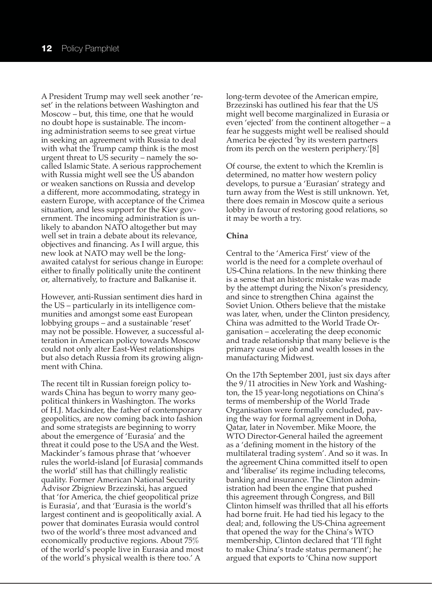A President Trump may well seek another 'reset' in the relations between Washington and Moscow – but, this time, one that he would no doubt hope is sustainable. The incoming administration seems to see great virtue in seeking an agreement with Russia to deal with what the Trump camp think is the most urgent threat to US security – namely the socalled Islamic State. A serious rapprochement with Russia might well see the US abandon or weaken sanctions on Russia and develop a different, more accommodating, strategy in eastern Europe, with acceptance of the Crimea situation, and less support for the Kiev government. The incoming administration is unlikely to abandon NATO altogether but may well set in train a debate about its relevance, objectives and financing. As I will argue, this new look at NATO may well be the longawaited catalyst for serious change in Europe: either to finally politically unite the continent or, alternatively, to fracture and Balkanise it.

However, anti-Russian sentiment dies hard in the US – particularly in its intelligence communities and amongst some east European lobbying groups – and a sustainable 'reset' may not be possible. However, a successful alteration in American policy towards Moscow could not only alter East-West relationships but also detach Russia from its growing alignment with China.

The recent tilt in Russian foreign policy towards China has begun to worry many geopolitical thinkers in Washington. The works of H.J. Mackinder, the father of contemporary geopolitics, are now coming back into fashion and some strategists are beginning to worry about the emergence of 'Eurasia' and the threat it could pose to the USA and the West. Mackinder's famous phrase that 'whoever rules the world-island [of Eurasia] commands the world' still has that chillingly realistic quality. Former American National Security Advisor Zbigniew Brzezinski, has argued that 'for America, the chief geopolitical prize is Eurasia', and that 'Eurasia is the world's largest continent and is geopolitically axial. A power that dominates Eurasia would control two of the world's three most advanced and economically productive regions. About 75% of the world's people live in Eurasia and most of the world's physical wealth is there too.' A

long-term devotee of the American empire, Brzezinski has outlined his fear that the US might well become marginalized in Eurasia or even 'ejected' from the continent altogether – a fear he suggests might well be realised should America be ejected 'by its western partners from its perch on the western periphery.'[8]

Of course, the extent to which the Kremlin is determined, no matter how western policy develops, to pursue a 'Eurasian' strategy and turn away from the West is still unknown. Yet, there does remain in Moscow quite a serious lobby in favour of restoring good relations, so it may be worth a try.

#### **China**

Central to the 'America First' view of the world is the need for a complete overhaul of US-China relations. In the new thinking there is a sense that an historic mistake was made by the attempt during the Nixon's presidency, and since to strengthen China against the Soviet Union. Others believe that the mistake was later, when, under the Clinton presidency, China was admitted to the World Trade Organisation – accelerating the deep economic and trade relationship that many believe is the primary cause of job and wealth losses in the manufacturing Midwest.

On the 17th September 2001, just six days after the 9/11 atrocities in New York and Washington, the 15 year-long negotiations on China's terms of membership of the World Trade Organisation were formally concluded, paving the way for formal agreement in Doha, Qatar, later in November. Mike Moore, the WTO Director-General hailed the agreement as a 'defining moment in the history of the multilateral trading system'. And so it was. In the agreement China committed itself to open and 'liberalise' its regime including telecoms, banking and insurance. The Clinton administration had been the engine that pushed this agreement through Congress, and Bill Clinton himself was thrilled that all his efforts had borne fruit. He had tied his legacy to the deal; and, following the US-China agreement that opened the way for the China's WTO membership, Clinton declared that 'I'll fight to make China's trade status permanent'; he argued that exports to 'China now support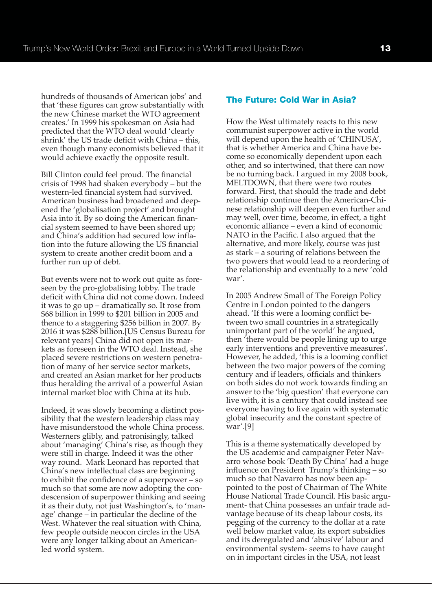hundreds of thousands of American jobs' and that 'these figures can grow substantially with the new Chinese market the WTO agreement creates.' In 1999 his spokesman on Asia had predicted that the WTO deal would 'clearly shrink' the US trade deficit with China – this, even though many economists believed that it would achieve exactly the opposite result.

Bill Clinton could feel proud. The financial crisis of 1998 had shaken everybody – but the western-led financial system had survived. American business had broadened and deepened the 'globalisation project' and brought Asia into it. By so doing the American financial system seemed to have been shored up; and China's addition had secured low inflation into the future allowing the US financial system to create another credit boom and a further run up of debt.

But events were not to work out quite as foreseen by the pro-globalising lobby. The trade deficit with China did not come down. Indeed it was to go up – dramatically so. It rose from \$68 billion in 1999 to \$201 billion in 2005 and thence to a staggering \$256 billion in 2007. By 2016 it was \$288 billion.[US Census Bureau for relevant years] China did not open its markets as foreseen in the WTO deal. Instead, she placed severe restrictions on western penetration of many of her service sector markets, and created an Asian market for her products thus heralding the arrival of a powerful Asian internal market bloc with China at its hub.

Indeed, it was slowly becoming a distinct possibility that the western leadership class may have misunderstood the whole China process. Westerners glibly, and patronisingly, talked about 'managing' China's rise, as though they were still in charge. Indeed it was the other way round. Mark Leonard has reported that China's new intellectual class are beginning to exhibit the confidence of a superpower – so much so that some are now adopting the condescension of superpower thinking and seeing it as their duty, not just Washington's, to 'manage' change – in particular the decline of the West. Whatever the real situation with China, few people outside neocon circles in the USA were any longer talking about an Americanled world system.

#### The Future: Cold War in Asia?

How the West ultimately reacts to this new communist superpower active in the world will depend upon the health of 'CHINUSA', that is whether America and China have become so economically dependent upon each other, and so intertwined, that there can now be no turning back. I argued in my 2008 book, MELTDOWN, that there were two routes forward. First, that should the trade and debt relationship continue then the American-Chinese relationship will deepen even further and may well, over time, become, in effect, a tight economic alliance – even a kind of economic NATO in the Pacific. I also argued that the alternative, and more likely, course was just as stark – a souring of relations between the two powers that would lead to a reordering of the relationship and eventually to a new 'cold war'.

In 2005 Andrew Small of The Foreign Policy Centre in London pointed to the dangers ahead. 'If this were a looming conflict between two small countries in a strategically unimportant part of the world' he argued, then 'there would be people lining up to urge early interventions and preventive measures'. However, he added, 'this is a looming conflict between the two major powers of the coming century and if leaders, officials and thinkers on both sides do not work towards finding an answer to the 'big question' that everyone can live with, it is a century that could instead see everyone having to live again with systematic global insecurity and the constant spectre of war'.[9]

This is a theme systematically developed by the US academic and campaigner Peter Navarro whose book 'Death By China' had a huge influence on President Trump's thinking – so much so that Navarro has now been appointed to the post of Chairman of The White House National Trade Council. His basic argument- that China possesses an unfair trade advantage because of its cheap labour costs, its pegging of the currency to the dollar at a rate well below market value, its export subsidies and its deregulated and 'abusive' labour and environmental system- seems to have caught on in important circles in the USA, not least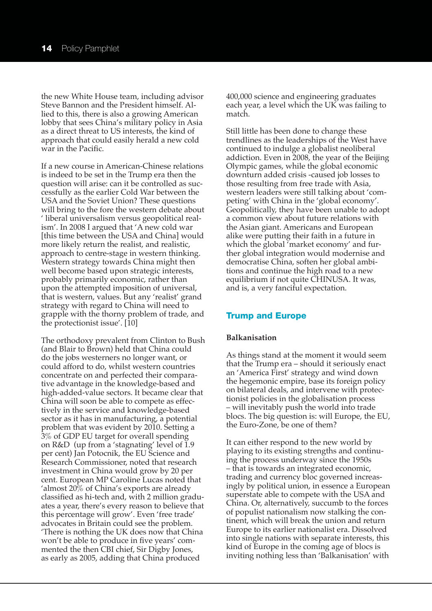the new White House team, including advisor Steve Bannon and the President himself. Allied to this, there is also a growing American lobby that sees China's military policy in Asia as a direct threat to US interests, the kind of approach that could easily herald a new cold war in the Pacific.

If a new course in American-Chinese relations is indeed to be set in the Trump era then the question will arise: can it be controlled as successfully as the earlier Cold War between the USA and the Soviet Union? These questions will bring to the fore the western debate about ' liberal universalism versus geopolitical realism'. In 2008 I argued that 'A new cold war [this time between the USA and China] would more likely return the realist, and realistic, approach to centre-stage in western thinking. Western strategy towards China might then well become based upon strategic interests, probably primarily economic, rather than upon the attempted imposition of universal, that is western, values. But any 'realist' grand strategy with regard to China will need to grapple with the thorny problem of trade, and the protectionist issue'. [10]

The orthodoxy prevalent from Clinton to Bush (and Blair to Brown) held that China could do the jobs westerners no longer want, or could afford to do, whilst western countries concentrate on and perfected their comparative advantage in the knowledge-based and high-added-value sectors. It became clear that China will soon be able to compete as effectively in the service and knowledge-based sector as it has in manufacturing, a potential problem that was evident by 2010. Setting a 3% of GDP EU target for overall spending on R&D (up from a 'stagnating' level of 1.9 per cent) Jan Potocnik, the EU Science and Research Commissioner, noted that research investment in China would grow by 20 per cent. European MP Caroline Lucas noted that 'almost 20% of China's exports are already classified as hi-tech and, with 2 million graduates a year, there's every reason to believe that this percentage will grow'. Even 'free trade' advocates in Britain could see the problem. 'There is nothing the UK does now that China won't be able to produce in five years' commented the then CBI chief, Sir Digby Jones, as early as 2005, adding that China produced

400,000 science and engineering graduates each year, a level which the UK was failing to match.

Still little has been done to change these trendlines as the leaderships of the West have continued to indulge a globalist neoliberal addiction. Even in 2008, the year of the Beijing Olympic games, while the global economic downturn added crisis -caused job losses to those resulting from free trade with Asia, western leaders were still talking about 'competing' with China in the 'global economy'. Geopolitically, they have been unable to adopt a common view about future relations with the Asian giant. Americans and European alike were putting their faith in a future in which the global 'market economy' and further global integration would modernise and democratise China, soften her global ambitions and continue the high road to a new equilibrium if not quite CHINUSA. It was, and is, a very fanciful expectation.

#### Trump and Europe

#### **Balkanisation**

As things stand at the moment it would seem that the Trump era – should it seriously enact an 'America First' strategy and wind down the hegemonic empire, base its foreign policy on bilateral deals, and intervene with protectionist policies in the globalisation process – will inevitably push the world into trade blocs. The big question is: will Europe, the EU, the Euro-Zone, be one of them?

It can either respond to the new world by playing to its existing strengths and continuing the process underway since the 1950s – that is towards an integrated economic, trading and currency bloc governed increasingly by political union, in essence a European superstate able to compete with the USA and China. Or, alternatively, succumb to the forces of populist nationalism now stalking the continent, which will break the union and return Europe to its earlier nationalist era. Dissolved into single nations with separate interests, this kind of Europe in the coming age of blocs is inviting nothing less than 'Balkanisation' with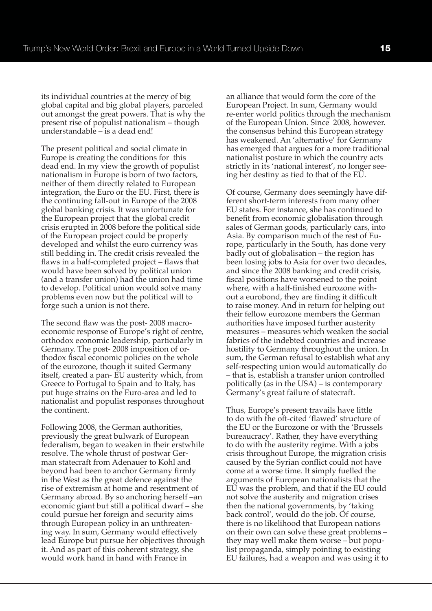its individual countries at the mercy of big global capital and big global players, parceled out amongst the great powers. That is why the present rise of populist nationalism – though understandable – is a dead end!

The present political and social climate in Europe is creating the conditions for this dead end. In my view the growth of populist nationalism in Europe is born of two factors, neither of them directly related to European integration, the Euro or the EU. First, there is the continuing fall-out in Europe of the 2008 global banking crisis. It was unfortunate for the European project that the global credit crisis erupted in 2008 before the political side of the European project could be properly developed and whilst the euro currency was still bedding in. The credit crisis revealed the flaws in a half-completed project – flaws that would have been solved by political union (and a transfer union) had the union had time to develop. Political union would solve many problems even now but the political will to forge such a union is not there.

The second flaw was the post- 2008 macroeconomic response of Europe's right of centre, orthodox economic leadership, particularly in Germany. The post- 2008 imposition of orthodox fiscal economic policies on the whole of the eurozone, though it suited Germany itself, created a pan- EU austerity which, from Greece to Portugal to Spain and to Italy, has put huge strains on the Euro-area and led to nationalist and populist responses throughout the continent.

Following 2008, the German authorities, previously the great bulwark of European federalism, began to weaken in their erstwhile resolve. The whole thrust of postwar German statecraft from Adenauer to Kohl and beyond had been to anchor Germany firmly in the West as the great defence against the rise of extremism at home and resentment of Germany abroad. By so anchoring herself –an economic giant but still a political dwarf – she could pursue her foreign and security aims through European policy in an unthreatening way. In sum, Germany would effectively lead Europe but pursue her objectives through it. And as part of this coherent strategy, she would work hand in hand with France in

an alliance that would form the core of the European Project. In sum, Germany would re-enter world politics through the mechanism of the European Union. Since 2008, however. the consensus behind this European strategy has weakened. An 'alternative' for Germany has emerged that argues for a more traditional nationalist posture in which the country acts strictly in its 'national interest', no longer seeing her destiny as tied to that of the EU.

Of course, Germany does seemingly have different short-term interests from many other EU states. For instance, she has continued to benefit from economic globalisation through sales of German goods, particularly cars, into Asia. By comparison much of the rest of Europe, particularly in the South, has done very badly out of globalisation – the region has been losing jobs to Asia for over two decades, and since the 2008 banking and credit crisis, fiscal positions have worsened to the point where, with a half-finished eurozone without a eurobond, they are finding it difficult to raise money. And in return for helping out their fellow eurozone members the German authorities have imposed further austerity measures – measures which weaken the social fabrics of the indebted countries and increase hostility to Germany throughout the union. In sum, the German refusal to establish what any self-respecting union would automatically do – that is, establish a transfer union controlled politically (as in the USA) – is contemporary Germany's great failure of statecraft.

Thus, Europe's present travails have little to do with the oft-cited 'flawed' structure of the EU or the Eurozone or with the 'Brussels bureaucracy'. Rather, they have everything to do with the austerity regime. With a jobs crisis throughout Europe, the migration crisis caused by the Syrian conflict could not have come at a worse time. It simply fuelled the arguments of European nationalists that the EU was the problem, and that if the EU could not solve the austerity and migration crises then the national governments, by 'taking back control', would do the job. Of course, there is no likelihood that European nations on their own can solve these great problems – they may well make them worse – but populist propaganda, simply pointing to existing EU failures, had a weapon and was using it to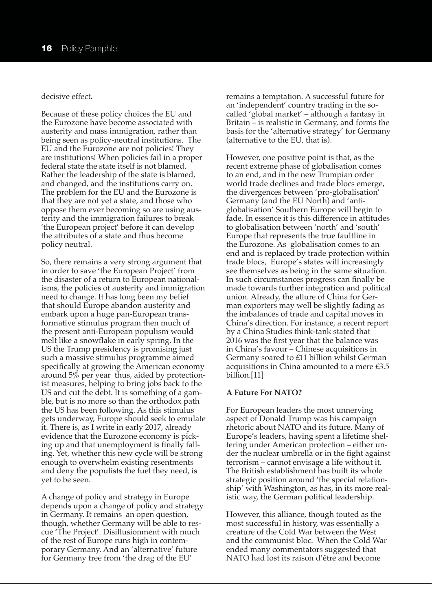decisive effect.

Because of these policy choices the EU and the Eurozone have become associated with austerity and mass immigration, rather than being seen as policy-neutral institutions. The EU and the Eurozone are not policies! They are institutions! When policies fail in a proper federal state the state itself is not blamed. Rather the leadership of the state is blamed, and changed, and the institutions carry on. The problem for the EU and the Eurozone is that they are not yet a state, and those who oppose them ever becoming so are using austerity and the immigration failures to break 'the European project' before it can develop the attributes of a state and thus become policy neutral.

So, there remains a very strong argument that in order to save 'the European Project' from the disaster of a return to European nationalisms, the policies of austerity and immigration need to change. It has long been my belief that should Europe abandon austerity and embark upon a huge pan-European transformative stimulus program then much of the present anti-European populism would melt like a snowflake in early spring. In the US the Trump presidency is promising just such a massive stimulus programme aimed specifically at growing the American economy around 5% per year thus, aided by protectionist measures, helping to bring jobs back to the US and cut the debt. It is something of a gamble, but is no more so than the orthodox path the US has been following. As this stimulus gets underway, Europe should seek to emulate it. There is, as I write in early 2017, already evidence that the Eurozone economy is picking up and that unemployment is finally falling. Yet, whether this new cycle will be strong enough to overwhelm existing resentments and deny the populists the fuel they need, is yet to be seen.

A change of policy and strategy in Europe depends upon a change of policy and strategy in Germany. It remains an open question, though, whether Germany will be able to rescue 'The Project'. Disillusionment with much of the rest of Europe runs high in contemporary Germany. And an 'alternative' future for Germany free from 'the drag of the EU'

remains a temptation. A successful future for an 'independent' country trading in the socalled 'global market' – although a fantasy in Britain – is realistic in Germany, and forms the basis for the 'alternative strategy' for Germany (alternative to the EU, that is).

However, one positive point is that, as the recent extreme phase of globalisation comes to an end, and in the new Trumpian order world trade declines and trade blocs emerge, the divergences between 'pro-globalisation' Germany (and the EU North) and 'antiglobalisation' Southern Europe will begin to fade. In essence it is this difference in attitudes to globalisation between 'north' and 'south' Europe that represents the true faultline in the Eurozone. As globalisation comes to an end and is replaced by trade protection within trade blocs, Europe's states will increasingly see themselves as being in the same situation. In such circumstances progress can finally be made towards further integration and political union. Already, the allure of China for German exporters may well be slightly fading as the imbalances of trade and capital moves in China's direction. For instance, a recent report by a China Studies think-tank stated that 2016 was the first year that the balance was in China's favour – Chinese acquisitions in Germany soared to £11 billion whilst German acquisitions in China amounted to a mere £3.5 billion.[11]

#### **A Future For NATO?**

For European leaders the most unnerving aspect of Donald Trump was his campaign rhetoric about NATO and its future. Many of Europe's leaders, having spent a lifetime sheltering under American protection – either under the nuclear umbrella or in the fight against terrorism – cannot envisage a life without it. The British establishment has built its whole strategic position around 'the special relationship' with Washington, as has, in its more realistic way, the German political leadership.

However, this alliance, though touted as the most successful in history, was essentially a creature of the Cold War between the West and the communist bloc. When the Cold War ended many commentators suggested that NATO had lost its raison d'être and become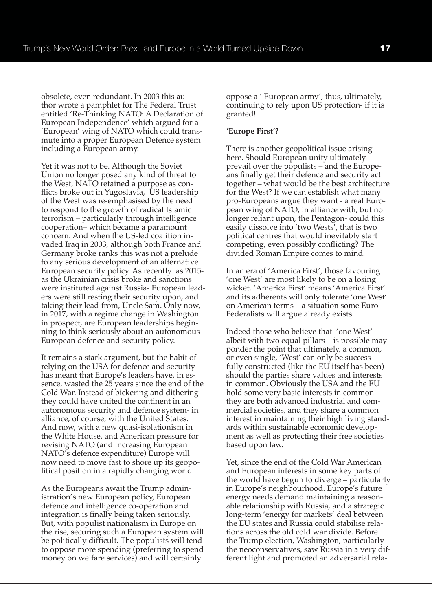obsolete, even redundant. In 2003 this author wrote a pamphlet for The Federal Trust entitled 'Re-Thinking NATO: A Declaration of European Independence' which argued for a 'European' wing of NATO which could transmute into a proper European Defence system including a European army.

Yet it was not to be. Although the Soviet Union no longer posed any kind of threat to the West, NATO retained a purpose as conflicts broke out in Yugoslavia, US leadership of the West was re-emphasised by the need to respond to the growth of radical Islamic terrorism – particularly through intelligence cooperation– which became a paramount concern. And when the US-led coalition invaded Iraq in 2003, although both France and Germany broke ranks this was not a prelude to any serious development of an alternative European security policy. As recently as 2015 as the Ukrainian crisis broke and sanctions were instituted against Russia- European leaders were still resting their security upon, and taking their lead from, Uncle Sam. Only now, in 2017, with a regime change in Washington in prospect, are European leaderships beginning to think seriously about an autonomous European defence and security policy.

It remains a stark argument, but the habit of relying on the USA for defence and security has meant that Europe's leaders have, in essence, wasted the 25 years since the end of the Cold War. Instead of bickering and dithering they could have united the continent in an autonomous security and defence system- in alliance, of course, with the United States. And now, with a new quasi-isolationism in the White House, and American pressure for revising NATO (and increasing European NATO's defence expenditure) Europe will now need to move fast to shore up its geopolitical position in a rapidly changing world.

As the Europeans await the Trump administration's new European policy, European defence and intelligence co-operation and integration is finally being taken seriously. But, with populist nationalism in Europe on the rise, securing such a European system will be politically difficult. The populists will tend to oppose more spending (preferring to spend money on welfare services) and will certainly

oppose a ' European army', thus, ultimately, continuing to rely upon US protection- if it is granted!

#### **'Europe First'?**

There is another geopolitical issue arising here. Should European unity ultimately prevail over the populists – and the Europeans finally get their defence and security act together – what would be the best architecture for the West? If we can establish what many pro-Europeans argue they want - a real European wing of NATO, in alliance with, but no longer reliant upon, the Pentagon- could this easily dissolve into 'two Wests', that is two political centres that would inevitably start competing, even possibly conflicting? The divided Roman Empire comes to mind.

In an era of 'America First', those favouring 'one West' are most likely to be on a losing wicket. 'America First' means 'America First' and its adherents will only tolerate 'one West' on American terms – a situation some Euro-Federalists will argue already exists.

Indeed those who believe that 'one West' – albeit with two equal pillars – is possible may ponder the point that ultimately, a common, or even single, 'West' can only be successfully constructed (like the EU itself has been) should the parties share values and interests in common. Obviously the USA and the EU hold some very basic interests in common – they are both advanced industrial and commercial societies, and they share a common interest in maintaining their high living standards within sustainable economic development as well as protecting their free societies based upon law.

Yet, since the end of the Cold War American and European interests in some key parts of the world have begun to diverge – particularly in Europe's neighbourhood. Europe's future energy needs demand maintaining a reasonable relationship with Russia, and a strategic long-term 'energy for markets' deal between the EU states and Russia could stabilise relations across the old cold war divide. Before the Trump election, Washington, particularly the neoconservatives, saw Russia in a very different light and promoted an adversarial rela-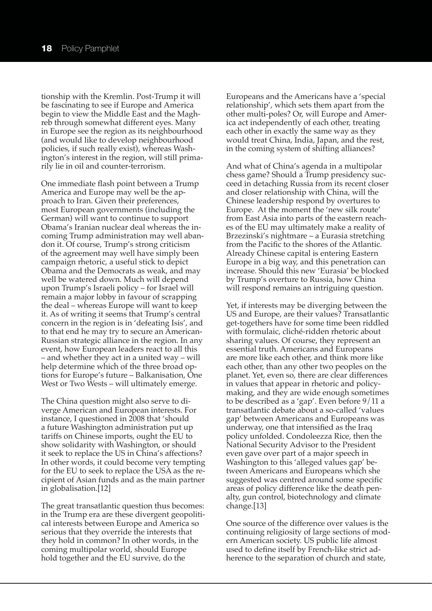tionship with the Kremlin. Post-Trump it will be fascinating to see if Europe and America begin to view the Middle East and the Maghreb through somewhat different eyes. Many in Europe see the region as its neighbourhood (and would like to develop neighbourhood policies, if such really exist), whereas Washington's interest in the region, will still primarily lie in oil and counter-terrorism.

One immediate flash point between a Trump America and Europe may well be the approach to Iran. Given their preferences, most European governments (including the German) will want to continue to support Obama's Iranian nuclear deal whereas the incoming Trump administration may well abandon it. Of course, Trump's strong criticism of the agreement may well have simply been campaign rhetoric, a useful stick to depict Obama and the Democrats as weak, and may well be watered down. Much will depend upon Trump's Israeli policy – for Israel will remain a major lobby in favour of scrapping the deal – whereas Europe will want to keep it. As of writing it seems that Trump's central concern in the region is in 'defeating Isis', and to that end he may try to secure an American-Russian strategic alliance in the region. In any event, how European leaders react to all this – and whether they act in a united way – will help determine which of the three broad options for Europe's future – Balkanisation, One West or Two Wests – will ultimately emerge.

The China question might also serve to diverge American and European interests. For instance, I questioned in 2008 that 'should a future Washington administration put up tariffs on Chinese imports, ought the EU to show solidarity with Washington, or should it seek to replace the US in China's affections? In other words, it could become very tempting for the EU to seek to replace the USA as the recipient of Asian funds and as the main partner in globalisation.[12]

The great transatlantic question thus becomes: in the Trump era are these divergent geopolitical interests between Europe and America so serious that they override the interests that they hold in common? In other words, in the coming multipolar world, should Europe hold together and the EU survive, do the

Europeans and the Americans have a 'special relationship', which sets them apart from the other multi-poles? Or, will Europe and America act independently of each other, treating each other in exactly the same way as they would treat China, India, Japan, and the rest, in the coming system of shifting alliances?

And what of China's agenda in a multipolar chess game? Should a Trump presidency succeed in detaching Russia from its recent closer and closer relationship with China, will the Chinese leadership respond by overtures to Europe. At the moment the 'new silk route' from East Asia into parts of the eastern reaches of the EU may ultimately make a reality of Brzezinski's nightmare – a Eurasia stretching from the Pacific to the shores of the Atlantic. Already Chinese capital is entering Eastern Europe in a big way, and this penetration can increase. Should this new 'Eurasia' be blocked by Trump's overture to Russia, how China will respond remains an intriguing question.

Yet, if interests may be diverging between the US and Europe, are their values? Transatlantic get-togethers have for some time been riddled with formulaic, cliché-ridden rhetoric about sharing values. Of course, they represent an essential truth. Americans and Europeans are more like each other, and think more like each other, than any other two peoples on the planet. Yet, even so, there are clear differences in values that appear in rhetoric and policymaking, and they are wide enough sometimes to be described as a 'gap'. Even before 9/11 a transatlantic debate about a so-called 'values gap' between Americans and Europeans was underway, one that intensified as the Iraq policy unfolded. Condoleezza Rice, then the National Security Advisor to the President even gave over part of a major speech in Washington to this 'alleged values gap' between Americans and Europeans which she suggested was centred around some specific areas of policy difference like the death penalty, gun control, biotechnology and climate change.[13]

One source of the difference over values is the continuing religiosity of large sections of modern American society. US public life almost used to define itself by French-like strict adherence to the separation of church and state,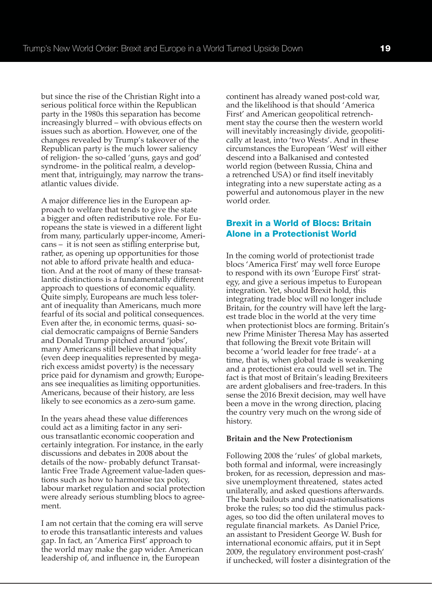but since the rise of the Christian Right into a serious political force within the Republican party in the 1980s this separation has become increasingly blurred – with obvious effects on issues such as abortion. However, one of the changes revealed by Trump's takeover of the Republican party is the much lower saliency of religion- the so-called 'guns, gays and god' syndrome- in the political realm, a development that, intriguingly, may narrow the transatlantic values divide.

A major difference lies in the European approach to welfare that tends to give the state a bigger and often redistributive role. For Europeans the state is viewed in a different light from many, particularly upper-income, Americans – it is not seen as stifling enterprise but, rather, as opening up opportunities for those not able to afford private health and education. And at the root of many of these transatlantic distinctions is a fundamentally different approach to questions of economic equality. Quite simply, Europeans are much less tolerant of inequality than Americans, much more fearful of its social and political consequences. Even after the, in economic terms, quasi- social democratic campaigns of Bernie Sanders and Donald Trump pitched around 'jobs', many Americans still believe that inequality (even deep inequalities represented by megarich excess amidst poverty) is the necessary price paid for dynamism and growth; Europeans see inequalities as limiting opportunities. Americans, because of their history, are less likely to see economics as a zero-sum game.

In the years ahead these value differences could act as a limiting factor in any serious transatlantic economic cooperation and certainly integration. For instance, in the early discussions and debates in 2008 about the details of the now- probably defunct Transatlantic Free Trade Agreement value-laden questions such as how to harmonise tax policy, labour market regulation and social protection were already serious stumbling blocs to agreement.

I am not certain that the coming era will serve to erode this transatlantic interests and values gap. In fact, an 'America First' approach to the world may make the gap wider. American leadership of, and influence in, the European

continent has already waned post-cold war, and the likelihood is that should 'America First' and American geopolitical retrenchment stay the course then the western world will inevitably increasingly divide, geopolitically at least, into 'two Wests'. And in these circumstances the European 'West' will either descend into a Balkanised and contested world region (between Russia, China and a retrenched USA) or find itself inevitably integrating into a new superstate acting as a powerful and autonomous player in the new world order.

#### Brexit in a World of Blocs: Britain Alone in a Protectionist World

In the coming world of protectionist trade blocs 'America First' may well force Europe to respond with its own 'Europe First' strategy, and give a serious impetus to European integration. Yet, should Brexit hold, this integrating trade bloc will no longer include Britain, for the country will have left the largest trade bloc in the world at the very time when protectionist blocs are forming. Britain's new Prime Minister Theresa May has asserted that following the Brexit vote Britain will become a 'world leader for free trade'- at a time, that is, when global trade is weakening and a protectionist era could well set in. The fact is that most of Britain's leading Brexiteers are ardent globalisers and free-traders. In this sense the 2016 Brexit decision, may well have been a move in the wrong direction, placing the country very much on the wrong side of history.

#### **Britain and the New Protectionism**

Following 2008 the 'rules' of global markets, both formal and informal, were increasingly broken, for as recession, depression and massive unemployment threatened, states acted unilaterally, and asked questions afterwards. The bank bailouts and quasi-nationalisations broke the rules; so too did the stimulus packages, so too did the often unilateral moves to regulate financial markets. As Daniel Price, an assistant to President George W. Bush for international economic affairs, put it in Sept 2009, the regulatory environment post-crash' if unchecked, will foster a disintegration of the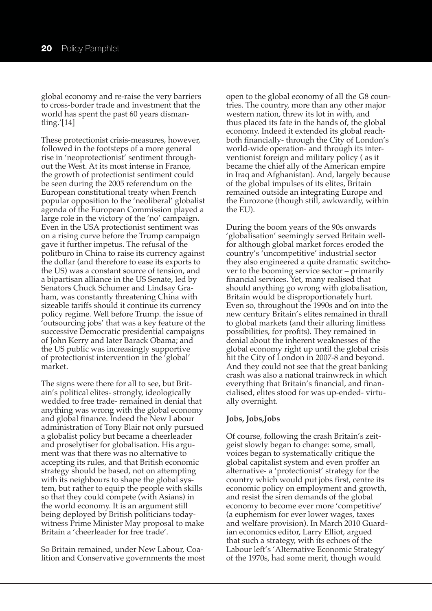global economy and re-raise the very barriers to cross-border trade and investment that the world has spent the past 60 years dismantling.'[14]

These protectionist crisis-measures, however, followed in the footsteps of a more general rise in 'neoprotectionist' sentiment throughout the West. At its most intense in France, the growth of protectionist sentiment could be seen during the 2005 referendum on the European constitutional treaty when French popular opposition to the 'neoliberal' globalist agenda of the European Commission played a large role in the victory of the 'no' campaign. Even in the USA protectionist sentiment was on a rising curve before the Trump campaign gave it further impetus. The refusal of the politburo in China to raise its currency against the dollar (and therefore to ease its exports to the US) was a constant source of tension, and a bipartisan alliance in the US Senate, led by Senators Chuck Schumer and Lindsay Graham, was constantly threatening China with sizeable tariffs should it continue its currency policy regime. Well before Trump. the issue of 'outsourcing jobs' that was a key feature of the successive Democratic presidential campaigns of John Kerry and later Barack Obama; and the US public was increasingly supportive of protectionist intervention in the 'global' market.

The signs were there for all to see, but Britain's political elites- strongly, ideologically wedded to free trade- remained in denial that anything was wrong with the global economy and global finance. Indeed the New Labour administration of Tony Blair not only pursued a globalist policy but became a cheerleader and proselytiser for globalisation. His argument was that there was no alternative to accepting its rules, and that British economic strategy should be based, not on attempting with its neighbours to shape the global system, but rather to equip the people with skills so that they could compete (with Asians) in the world economy. It is an argument still being deployed by British politicians todaywitness Prime Minister May proposal to make Britain a 'cheerleader for free trade'.

So Britain remained, under New Labour, Coalition and Conservative governments the most open to the global economy of all the G8 countries. The country, more than any other major western nation, threw its lot in with, and thus placed its fate in the hands of, the global economy. Indeed it extended its global reachboth financially- through the City of London's world-wide operation- and through its interventionist foreign and military policy ( as it became the chief ally of the American empire in Iraq and Afghanistan). And, largely because of the global impulses of its elites, Britain remained outside an integrating Europe and the Eurozone (though still, awkwardly, within the EU).

During the boom years of the 90s onwards 'globalisation' seemingly served Britain wellfor although global market forces eroded the country's 'uncompetitive' industrial sector they also engineered a quite dramatic switchover to the booming service sector – primarily financial services. Yet, many realised that should anything go wrong with globalisation, Britain would be disproportionately hurt. Even so, throughout the 1990s and on into the new century Britain's elites remained in thrall to global markets (and their alluring limitless possibilities, for profits). They remained in denial about the inherent weaknesses of the global economy right up until the global crisis hit the City of London in 2007-8 and beyond. And they could not see that the great banking crash was also a national trainwreck in which everything that Britain's financial, and financialised, elites stood for was up-ended- virtually overnight.

#### **Jobs, Jobs,Jobs**

Of course, following the crash Britain's zeitgeist slowly began to change: some, small, voices began to systematically critique the global capitalist system and even proffer an alternative- a 'protectionist' strategy for the country which would put jobs first, centre its economic policy on employment and growth, and resist the siren demands of the global economy to become ever more 'competitive' (a euphemism for ever lower wages, taxes and welfare provision). In March 2010 Guardian economics editor, Larry Elliot, argued that such a strategy, with its echoes of the Labour left's 'Alternative Economic Strategy' of the 1970s, had some merit, though would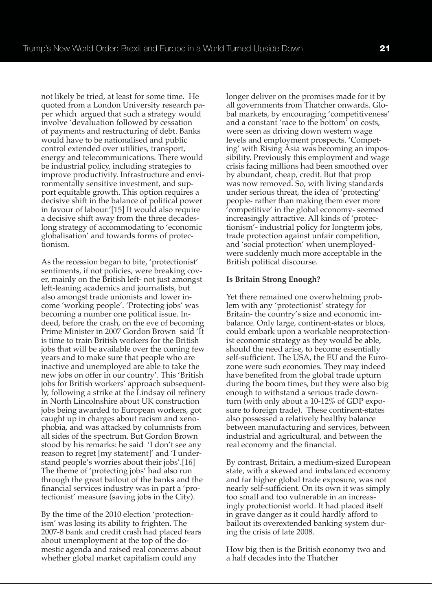not likely be tried, at least for some time. He quoted from a London University research paper which argued that such a strategy would involve 'devaluation followed by cessation of payments and restructuring of debt. Banks would have to be nationalised and public control extended over utilities, transport, energy and telecommunications. There would be industrial policy, including strategies to improve productivity. Infrastructure and environmentally sensitive investment, and support equitable growth. This option requires a decisive shift in the balance of political power in favour of labour.'[15] It would also require a decisive shift away from the three decadeslong strategy of accommodating to 'economic globalisation' and towards forms of protectionism.

As the recession began to bite, 'protectionist' sentiments, if not policies, were breaking cover, mainly on the British left- not just amongst left-leaning academics and journalists, but also amongst trade unionists and lower income 'working people'. 'Protecting jobs' was becoming a number one political issue. Indeed, before the crash, on the eve of becoming Prime Minister in 2007 Gordon Brown said 'It is time to train British workers for the British jobs that will be available over the coming few years and to make sure that people who are inactive and unemployed are able to take the new jobs on offer in our country'. This 'British jobs for British workers' approach subsequently, following a strike at the Lindsay oil refinery in North Lincolnshire about UK construction jobs being awarded to European workers, got caught up in charges about racism and xenophobia, and was attacked by columnists from all sides of the spectrum. But Gordon Brown stood by his remarks: he said 'I don't see any reason to regret [my statement]' and 'I understand people's worries about their jobs'.[16] The theme of 'protecting jobs' had also run through the great bailout of the banks and the financial services industry was in part a 'protectionist' measure (saving jobs in the City).

By the time of the 2010 election 'protectionism' was losing its ability to frighten. The 2007-8 bank and credit crash had placed fears about unemployment at the top of the domestic agenda and raised real concerns about whether global market capitalism could any

longer deliver on the promises made for it by all governments from Thatcher onwards. Global markets, by encouraging 'competitiveness' and a constant 'race to the bottom' on costs, were seen as driving down western wage levels and employment prospects. 'Competing' with Rising Asia was becoming an impossibility. Previously this employment and wage crisis facing millions had been smoothed over by abundant, cheap, credit. But that prop was now removed. So, with living standards under serious threat, the idea of 'protecting' people- rather than making them ever more 'competitive' in the global economy- seemed increasingly attractive. All kinds of 'protectionism'- industrial policy for longterm jobs, trade protection against unfair competition, and 'social protection' when unemployedwere suddenly much more acceptable in the British political discourse.

#### **Is Britain Strong Enough?**

Yet there remained one overwhelming problem with any 'protectionist' strategy for Britain- the country's size and economic imbalance. Only large, continent-states or blocs, could embark upon a workable neoprotectionist economic strategy as they would be able, should the need arise, to become essentially self-sufficient. The USA, the EU and the Eurozone were such economies. They may indeed have benefited from the global trade upturn during the boom times, but they were also big enough to withstand a serious trade downturn (with only about a 10-12% of GDP exposure to foreign trade). These continent-states also possessed a relatively healthy balance between manufacturing and services, between industrial and agricultural, and between the real economy and the financial.

By contrast, Britain, a medium-sized European state, with a skewed and imbalanced economy and far higher global trade exposure, was not nearly self-sufficient. On its own it was simply too small and too vulnerable in an increasingly protectionist world. It had placed itself in grave danger as it could hardly afford to bailout its overextended banking system during the crisis of late 2008.

How big then is the British economy two and a half decades into the Thatcher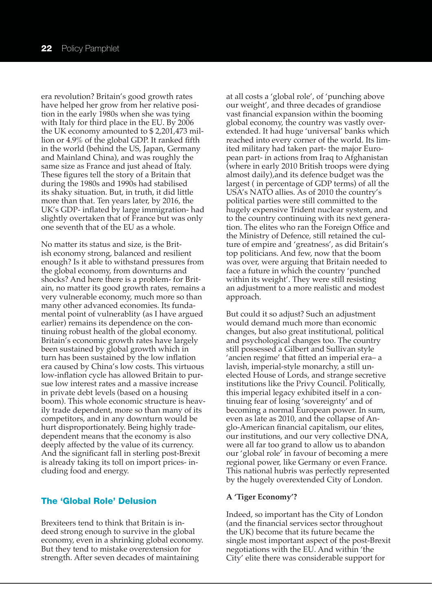era revolution? Britain's good growth rates have helped her grow from her relative position in the early 1980s when she was tying with Italy for third place in the EU. By 2006 the UK economy amounted to \$ 2,201,473 million or 4.9% of the global GDP. It ranked fifth in the world (behind the US, Japan, Germany and Mainland China), and was roughly the same size as France and just ahead of Italy. These figures tell the story of a Britain that during the 1980s and 1990s had stabilised its shaky situation. But, in truth, it did little more than that. Ten years later, by 2016, the UK's GDP- inflated by large immigration- had slightly overtaken that of France but was only one seventh that of the EU as a whole.

No matter its status and size, is the British economy strong, balanced and resilient enough? Is it able to withstand pressures from the global economy, from downturns and shocks? And here there is a problem- for Britain, no matter its good growth rates, remains a very vulnerable economy, much more so than many other advanced economies. Its fundamental point of vulnerablity (as I have argued earlier) remains its dependence on the continuing robust health of the global economy. Britain's economic growth rates have largely been sustained by global growth which in turn has been sustained by the low inflation era caused by China's low costs. This virtuous low-inflation cycle has allowed Britain to pursue low interest rates and a massive increase in private debt levels (based on a housing boom). This whole economic structure is heavily trade dependent, more so than many of its competitors, and in any downturn would be hurt disproportionately. Being highly tradedependent means that the economy is also deeply affected by the value of its currency. And the significant fall in sterling post-Brexit is already taking its toll on import prices- including food and energy.

#### The 'Global Role' Delusion

Brexiteers tend to think that Britain is indeed strong enough to survive in the global economy, even in a shrinking global economy. But they tend to mistake overextension for strength. After seven decades of maintaining

at all costs a 'global role', of 'punching above our weight', and three decades of grandiose vast financial expansion within the booming global economy, the country was vastly overextended. It had huge 'universal' banks which reached into every corner of the world. Its limited military had taken part- the major European part- in actions from Iraq to Afghanistan (where in early 2010 British troops were dying almost daily),and its defence budget was the largest ( in percentage of GDP terms) of all the USA's NATO allies. As of 2010 the country's political parties were still committed to the hugely expensive Trident nuclear system, and to the country continuing with its next generation. The elites who ran the Foreign Office and the Ministry of Defence, still retained the culture of empire and 'greatness', as did Britain's top politicians. And few, now that the boom was over, were arguing that Britain needed to face a future in which the country 'punched within its weight'. They were still resisting an adjustment to a more realistic and modest approach.

But could it so adjust? Such an adjustment would demand much more than economic changes, but also great institutional, political and psychological changes too. The country still possessed a Gilbert and Sullivan style 'ancien regime' that fitted an imperial era– a lavish, imperial-style monarchy, a still unelected House of Lords, and strange secretive institutions like the Privy Council. Politically, this imperial legacy exhibited itself in a continuing fear of losing 'sovereignty' and of becoming a normal European power. In sum, even as late as 2010, and the collapse of Anglo-American financial capitalism, our elites, our institutions, and our very collective DNA, were all far too grand to allow us to abandon our 'global role' in favour of becoming a mere regional power, like Germany or even France. This national hubris was perfectly represented by the hugely overextended City of London.

#### **A 'Tiger Economy'?**

Indeed, so important has the City of London (and the financial services sector throughout the UK) become that its future became the single most important aspect of the post-Brexit negotiations with the EU. And within 'the City' elite there was considerable support for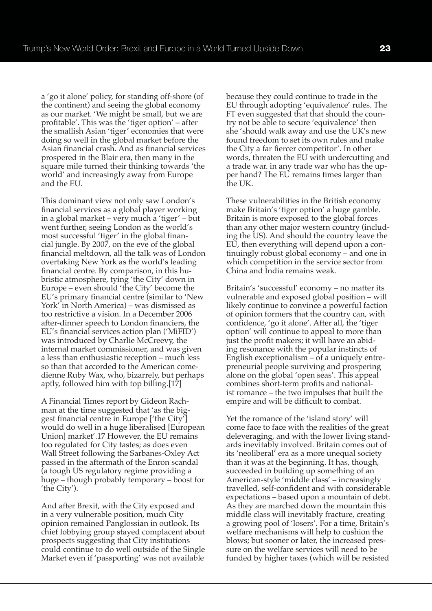a 'go it alone' policy, for standing off-shore (of the continent) and seeing the global economy as our market. 'We might be small, but we are profitable'. This was the 'tiger option' – after the smallish Asian 'tiger' economies that were doing so well in the global market before the Asian financial crash. And as financial services prospered in the Blair era, then many in the square mile turned their thinking towards 'the world' and increasingly away from Europe and the EU.

This dominant view not only saw London's financial services as a global player working in a global market – very much a 'tiger' – but went further, seeing London as the world's most successful 'tiger' in the global financial jungle. By 2007, on the eve of the global financial meltdown, all the talk was of London overtaking New York as the world's leading financial centre. By comparison, in this hubristic atmosphere, tying 'the City' down in Europe – even should 'the City' become the EU's primary financial centre (similar to 'New York' in North America) – was dismissed as too restrictive a vision. In a December 2006 after-dinner speech to London financiers, the EU's financial services action plan ('MiFID') was introduced by Charlie McCreevy, the internal market commissioner, and was given a less than enthusiastic reception – much less so than that accorded to the American comedienne Ruby Wax, who, bizarrely, but perhaps aptly, followed him with top billing.[17]

A Financial Times report by Gideon Rachman at the time suggested that 'as the biggest financial centre in Europe ['the City'] would do well in a huge liberalised [European Union] market'.17 However, the EU remains too regulated for City tastes; as does even Wall Street following the Sarbanes-Oxley Act passed in the aftermath of the Enron scandal (a tough US regulatory regime providing a huge – though probably temporary – boost for 'the City').

And after Brexit, with the City exposed and in a very vulnerable position, much City opinion remained Panglossian in outlook. Its chief lobbying group stayed complacent about prospects suggesting that City institutions could continue to do well outside of the Single Market even if 'passporting' was not available

because they could continue to trade in the EU through adopting 'equivalence' rules. The FT even suggested that that should the country not be able to secure 'equivalence' then she 'should walk away and use the UK's new found freedom to set its own rules and make the City a far fiercer competitor'. In other words, threaten the EU with undercutting and a trade war. in any trade war who has the upper hand? The EU remains times larger than the UK.

These vulnerabilities in the British economy make Britain's 'tiger option' a huge gamble. Britain is more exposed to the global forces than any other major western country (including the US). And should the country leave the EU, then everything will depend upon a continuingly robust global economy – and one in which competition in the service sector from China and India remains weak.

Britain's 'successful' economy – no matter its vulnerable and exposed global position – will likely continue to convince a powerful faction of opinion formers that the country can, with confidence, 'go it alone'. After all, the 'tiger option' will continue to appeal to more than just the profit makers; it will have an abiding resonance with the popular instincts of English exceptionalism – of a uniquely entrepreneurial people surviving and prospering alone on the global 'open seas'. This appeal combines short-term profits and nationalist romance – the two impulses that built the empire and will be difficult to combat.

Yet the romance of the 'island story' will come face to face with the realities of the great deleveraging, and with the lower living standards inevitably involved. Britain comes out of its 'neoliberal' era as a more unequal society than it was at the beginning. It has, though, succeeded in building up something of an American-style 'middle class' – increasingly travelled, self-confident and with considerable expectations – based upon a mountain of debt. As they are marched down the mountain this middle class will inevitably fracture, creating a growing pool of 'losers'. For a time, Britain's welfare mechanisms will help to cushion the blows; but sooner or later, the increased pressure on the welfare services will need to be funded by higher taxes (which will be resisted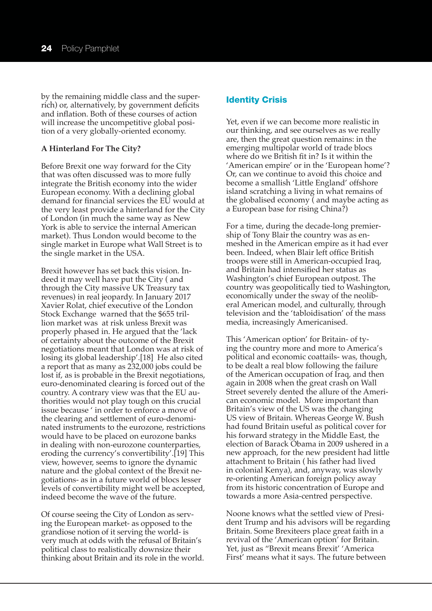by the remaining middle class and the superrich) or, alternatively, by government deficits and inflation. Both of these courses of action will increase the uncompetitive global position of a very globally-oriented economy.

#### **A Hinterland For The City?**

Before Brexit one way forward for the City that was often discussed was to more fully integrate the British economy into the wider European economy. With a declining global demand for financial services the EU would at the very least provide a hinterland for the City of London (in much the same way as New York is able to service the internal American market). Thus London would become to the single market in Europe what Wall Street is to the single market in the USA.

Brexit however has set back this vision. Indeed it may well have put the City ( and through the City massive UK Treasury tax revenues) in real jeopardy. In January 2017 Xavier Rolat, chief executive of the London Stock Exchange warned that the \$655 trillion market was at risk unless Brexit was properly phased in. He argued that the 'lack of certainty about the outcome of the Brexit negotiations meant that London was at risk of losing its global leadership'.[18] He also cited a report that as many as 232,000 jobs could be lost if, as is probable in the Brexit negotiations, euro-denominated clearing is forced out of the country. A contrary view was that the EU authorities would not play tough on this crucial issue because ' in order to enforce a move of the clearing and settlement of euro-denominated instruments to the eurozone, restrictions would have to be placed on eurozone banks in dealing with non-eurozone counterparties, eroding the currency's convertibility'.[19] This view, however, seems to ignore the dynamic nature and the global context of the Brexit negotiations- as in a future world of blocs lesser levels of convertibility might well be accepted, indeed become the wave of the future.

Of course seeing the City of London as serving the European market- as opposed to the grandiose notion of it serving the world- is very much at odds with the refusal of Britain's political class to realistically downsize their thinking about Britain and its role in the world.

#### Identity Crisis

Yet, even if we can become more realistic in our thinking, and see ourselves as we really are, then the great question remains: in the emerging multipolar world of trade blocs where do we British fit in? Is it within the 'American empire' or in the 'European home'? Or, can we continue to avoid this choice and become a smallish 'Little England' offshore island scratching a living in what remains of the globalised economy ( and maybe acting as a European base for rising China?)

For a time, during the decade-long premiership of Tony Blair the country was as enmeshed in the American empire as it had ever been. Indeed, when Blair left office British troops were still in American-occupied Iraq, and Britain had intensified her status as Washington's chief European outpost. The country was geopolitically tied to Washington, economically under the sway of the neoliberal American model, and culturally, through television and the 'tabloidisation' of the mass media, increasingly Americanised.

This 'American option' for Britain- of tying the country more and more to America's political and economic coattails- was, though, to be dealt a real blow following the failure of the American occupation of Iraq, and then again in 2008 when the great crash on Wall Street severely dented the allure of the American economic model. More important than Britain's view of the US was the changing US view of Britain. Whereas George W. Bush had found Britain useful as political cover for his forward strategy in the Middle East, the election of Barack Obama in 2009 ushered in a new approach, for the new president had little attachment to Britain ( his father had lived in colonial Kenya), and, anyway, was slowly re-orienting American foreign policy away from its historic concentration of Europe and towards a more Asia-centred perspective.

Noone knows what the settled view of President Trump and his advisors will be regarding Britain. Some Brexiteers place great faith in a revival of the 'American option' for Britain. Yet, just as "Brexit means Brexit' 'America First' means what it says. The future between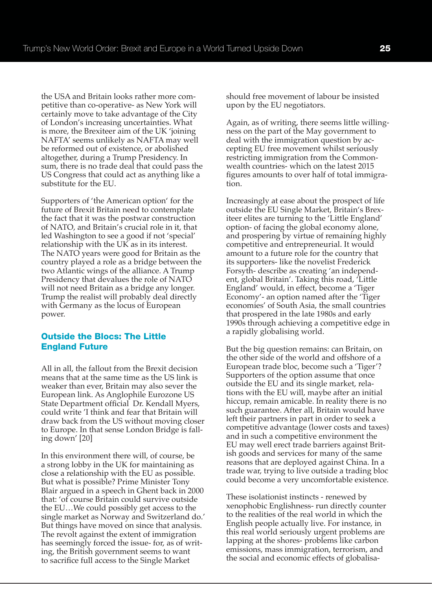the USA and Britain looks rather more competitive than co-operative- as New York will certainly move to take advantage of the City of London's increasing uncertainties. What is more, the Brexiteer aim of the UK 'joining NAFTA' seems unlikely as NAFTA may well be reformed out of existence, or abolished altogether, during a Trump Presidency. In sum, there is no trade deal that could pass the US Congress that could act as anything like a substitute for the EU.

Supporters of 'the American option' for the future of Brexit Britain need to contemplate the fact that it was the postwar construction of NATO, and Britain's crucial role in it, that led Washington to see a good if not 'special' relationship with the UK as in its interest. The NATO years were good for Britain as the country played a role as a bridge between the two Atlantic wings of the alliance. A Trump Presidency that devalues the role of NATO will not need Britain as a bridge any longer. Trump the realist will probably deal directly with Germany as the locus of European power.

#### Outside the Blocs: The Little England Future

All in all, the fallout from the Brexit decision means that at the same time as the US link is weaker than ever, Britain may also sever the European link. As Anglophile Eurozone US State Department official Dr. Kendall Myers, could write 'I think and fear that Britain will draw back from the US without moving closer to Europe. In that sense London Bridge is falling down' [20]

In this environment there will, of course, be a strong lobby in the UK for maintaining as close a relationship with the EU as possible. But what is possible? Prime Minister Tony Blair argued in a speech in Ghent back in 2000 that: 'of course Britain could survive outside the EU…We could possibly get access to the single market as Norway and Switzerland do.' But things have moved on since that analysis. The revolt against the extent of immigration has seemingly forced the issue- for, as of writing, the British government seems to want to sacrifice full access to the Single Market

should free movement of labour be insisted upon by the EU negotiators.

Again, as of writing, there seems little willingness on the part of the May government to deal with the immigration question by accepting EU free movement whilst seriously restricting immigration from the Commonwealth countries- which on the latest 2015 figures amounts to over half of total immigration.

Increasingly at ease about the prospect of life outside the EU Single Market, Britain's Brexiteer elites are turning to the 'Little England' option- of facing the global economy alone, and prospering by virtue of remaining highly competitive and entrepreneurial. It would amount to a future role for the country that its supporters- like the novelist Frederick Forsyth- describe as creating 'an independent, global Britain'. Taking this road, 'Little England' would, in effect, become a 'Tiger Economy'- an option named after the 'Tiger economies' of South Asia, the small countries that prospered in the late 1980s and early 1990s through achieving a competitive edge in a rapidly globalising world.

But the big question remains: can Britain, on the other side of the world and offshore of a European trade bloc, become such a 'Tiger'? Supporters of the option assume that once outside the EU and its single market, relations with the EU will, maybe after an initial hiccup, remain amicable. In reality there is no such guarantee. After all, Britain would have left their partners in part in order to seek a competitive advantage (lower costs and taxes) and in such a competitive environment the EU may well erect trade barriers against British goods and services for many of the same reasons that are deployed against China. In a trade war, trying to live outside a trading bloc could become a very uncomfortable existence.

These isolationist instincts - renewed by xenophobic Englishness- run directly counter to the realities of the real world in which the English people actually live. For instance, in this real world seriously urgent problems are lapping at the shores- problems like carbon emissions, mass immigration, terrorism, and the social and economic effects of globalisa-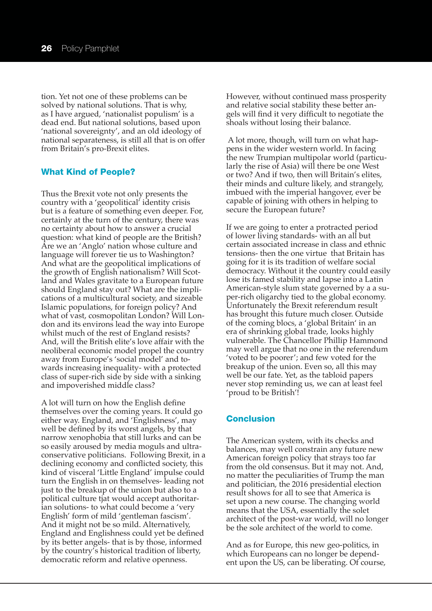tion. Yet not one of these problems can be solved by national solutions. That is why, as I have argued, 'nationalist populism' is a dead end. But national solutions, based upon 'national sovereignty', and an old ideology of national separateness, is still all that is on offer from Britain's pro-Brexit elites.

#### What Kind of People?

Thus the Brexit vote not only presents the country with a 'geopolitical' identity crisis but is a feature of something even deeper. For, certainly at the turn of the century, there was no certainty about how to answer a crucial question: what kind of people are the British? Are we an 'Anglo' nation whose culture and language will forever tie us to Washington? And what are the geopolitical implications of the growth of English nationalism? Will Scotland and Wales gravitate to a European future should England stay out? What are the implications of a multicultural society, and sizeable Islamic populations, for foreign policy? And what of vast, cosmopolitan London? Will London and its environs lead the way into Europe whilst much of the rest of England resists? And, will the British elite's love affair with the neoliberal economic model propel the country away from Europe's 'social model' and towards increasing inequality- with a protected class of super-rich side by side with a sinking and impoverished middle class?

A lot will turn on how the English define themselves over the coming years. It could go either way. England, and 'Englishness', may well be defined by its worst angels, by that narrow xenophobia that still lurks and can be so easily aroused by media moguls and ultraconservative politicians. Following Brexit, in a declining economy and conflicted society, this kind of visceral 'Little England' impulse could turn the English in on themselves- leading not just to the breakup of the union but also to a political culture tjat would accept authoritarian solutions- to what could become a 'very English' form of mild 'gentleman fascism'. And it might not be so mild. Alternatively, England and Englishness could yet be defined by its better angels- that is by those, informed by the country's historical tradition of liberty, democratic reform and relative openness.

However, without continued mass prosperity and relative social stability these better angels will find it very difficult to negotiate the shoals without losing their balance.

 A lot more, though, will turn on what happens in the wider western world. In facing the new Trumpian multipolar world (particularly the rise of Asia) will there be one West or two? And if two, then will Britain's elites, their minds and culture likely, and strangely, imbued with the imperial hangover, ever be capable of joining with others in helping to secure the European future?

If we are going to enter a protracted period of lower living standards- with an all but certain associated increase in class and ethnic tensions- then the one virtue that Britain has going for it is its tradition of welfare social democracy. Without it the country could easily lose its famed stability and lapse into a Latin American-style slum state governed by a a super-rich oligarchy tied to the global economy. Unfortunately the Brexit referendum result has brought this future much closer. Outside of the coming blocs, a 'global Britain' in an era of shrinking global trade, looks highly vulnerable. The Chancellor Phillip Hammond may well argue that no one in the referendum 'voted to be poorer'; and few voted for the breakup of the union. Even so, all this may well be our fate. Yet, as the tabloid papers never stop reminding us, we can at least feel 'proud to be British'!

#### Conclusion

The American system, with its checks and balances, may well constrain any future new American foreign policy that strays too far from the old consensus. But it may not. And, no matter the peculiarities of Trump the man and politician, the 2016 presidential election result shows for all to see that America is set upon a new course. The changing world means that the USA, essentially the solet architect of the post-war world, will no longer be the sole architect of the world to come.

And as for Europe, this new geo-politics, in which Europeans can no longer be dependent upon the US, can be liberating. Of course,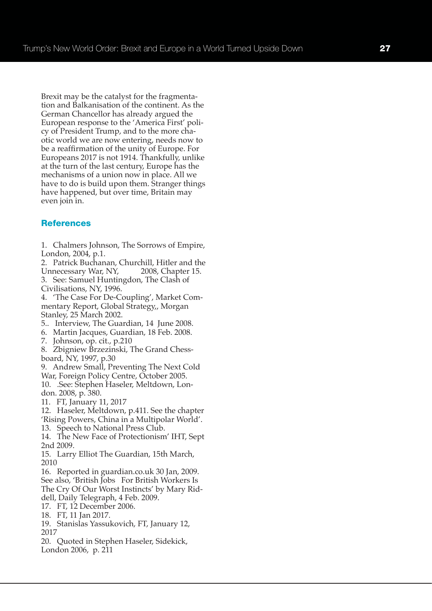Brexit may be the catalyst for the fragmenta tion and Balkanisation of the continent. As the German Chancellor has already argued the European response to the 'America First' poli cy of President Trump, and to the more cha otic world we are now entering, needs now to be a reaffirmation of the unity of Europe. For Europeans 2017 is not 1914. Thankfully, unlike at the turn of the last century, Europe has the mechanisms of a union now in place. All we have to do is build upon them. Stranger things have happened, but over time, Britain may even join in.

#### **References**

1. Chalmers Johnson, The Sorrows of Empire, London, 2004, p.1.

2. Patrick Buchanan, Churchill, Hitler and the Unnecessary War, NY, 2008, Chapter 15.

3. See: Samuel Huntingdon, The Clash of Civilisations, NY, 1996.

4. 'The Case For De-Coupling', Market Com mentary Report, Global Strategy,, Morgan Stanley, 25 March 2002.

5.. Interview, The Guardian, 14 June 2008.

- 6. Martin Jacques, Guardian, 18 Feb. 2008.
- 7. Johnson, op. cit., p.210

8. Zbigniew Brzezinski, The Grand Chess board, NY, 1997, p.30

9. Andrew Small, Preventing The Next Cold

War, Foreign Policy Centre, October 2005.

10. .See: Stephen Haseler, Meltdown, Lon don. 2008, p. 380.

- 11. FT, January 11, 2017
- 12. Haseler, Meltdown, p.411. See the chapter

'Rising Powers, China in a Multipolar World'.

13. Speech to National Press Club.

14. The New Face of Protectionism' IHT, Sept 2nd 2009.

15. Larry Elliot The Guardian, 15th March, 2010

- 16. Reported in guardian.co.uk 30 Jan, 2009. See also, 'British Jobs For British Workers Is The Cry Of Our Worst Instincts' by Mary Rid -
- dell, Daily Telegraph, 4 Feb. 2009.

17. FT, 12 December 2006.

- 18. FT, 11 Jan 2017.
- 19. Stanislas Yassukovich, FT, January 12, 2017

20. Quoted in Stephen Haseler, Sidekick, London 2006, p. 211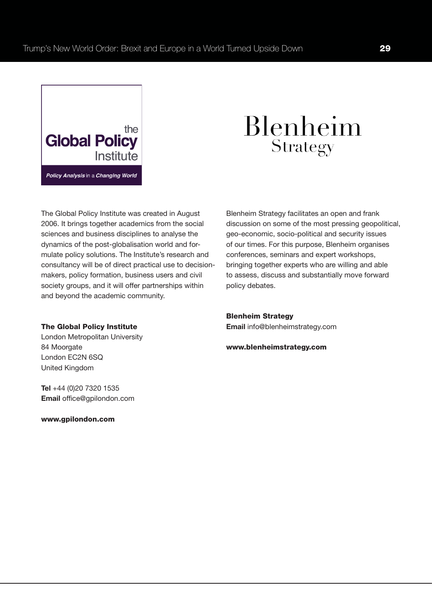

## Blenheim Strategy

The Global Policy Institute was created in August 2006. It brings together academics from the social sciences and business disciplines to analyse the dynamics of the post-globalisation world and formulate policy solutions. The Institute's research and consultancy will be of direct practical use to decisionmakers, policy formation, business users and civil society groups, and it will offer partnerships within and beyond the academic community.

#### The Global Policy Institute

London Metropolitan University 84 Moorgate London EC2N 6SQ United Kingdom

Tel +44 (0)20 7320 1535 Email office@gpilondon.com

www.gpilondon.com

Blenheim Strategy facilitates an open and frank discussion on some of the most pressing geopolitical, geo-economic, socio-political and security issues of our times. For this purpose, Blenheim organises conferences, seminars and expert workshops, bringing together experts who are willing and able to assess, discuss and substantially move forward policy debates.

#### Blenheim Strategy

Email info@blenheimstrategy.com

www.blenheimstrategy.com